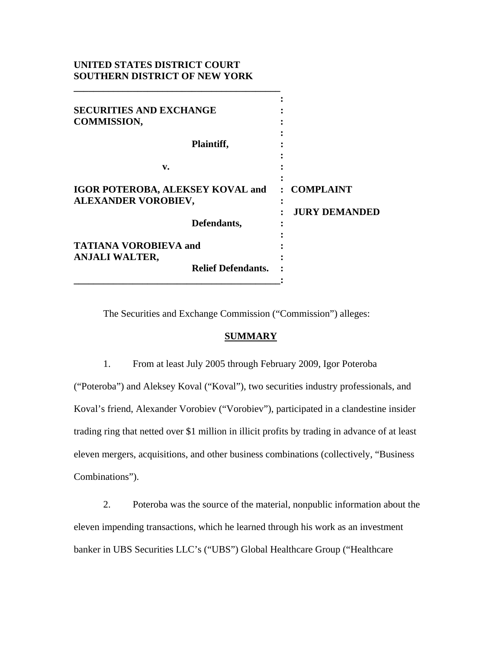# **UNITED STATES DISTRICT COURT SOUTHERN DISTRICT OF NEW YORK**

| <b>SECURITIES AND EXCHANGE</b><br><b>COMMISSION,</b><br>Plaintiff, |                                     |
|--------------------------------------------------------------------|-------------------------------------|
| v.                                                                 |                                     |
| <b>IGOR POTEROBA, ALEKSEY KOVAL and</b><br>ALEXANDER VOROBIEV,     | : COMPLAINT<br><b>JURY DEMANDED</b> |
| Defendants,                                                        |                                     |
| <b>TATIANA VOROBIEVA and</b><br><b>ANJALI WALTER,</b>              |                                     |
| <b>Relief Defendants.</b>                                          |                                     |

The Securities and Exchange Commission ("Commission") alleges:

## **SUMMARY**

1. From at least July 2005 through February 2009, Igor Poteroba

("Poteroba") and Aleksey Koval ("Koval"), two securities industry professionals, and Koval's friend, Alexander Vorobiev ("Vorobiev"), participated in a clandestine insider trading ring that netted over \$1 million in illicit profits by trading in advance of at least eleven mergers, acquisitions, and other business combinations (collectively, "Business Combinations").

2. Poteroba was the source of the material, nonpublic information about the eleven impending transactions, which he learned through his work as an investment banker in UBS Securities LLC's ("UBS") Global Healthcare Group ("Healthcare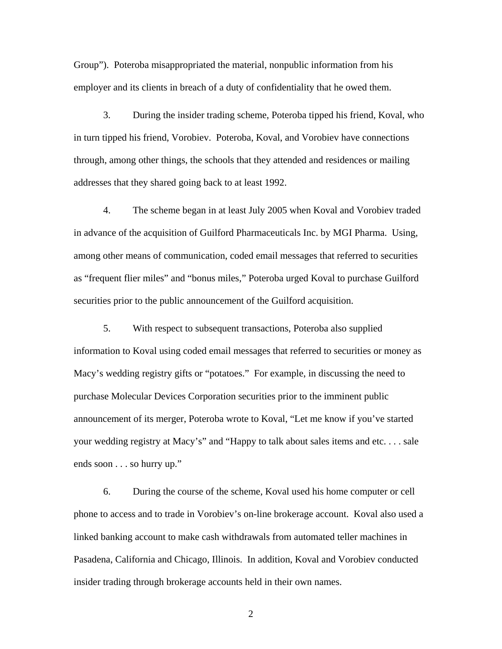Group"). Poteroba misappropriated the material, nonpublic information from his employer and its clients in breach of a duty of confidentiality that he owed them.

3. During the insider trading scheme, Poteroba tipped his friend, Koval, who in turn tipped his friend, Vorobiev. Poteroba, Koval, and Vorobiev have connections through, among other things, the schools that they attended and residences or mailing addresses that they shared going back to at least 1992.

4. The scheme began in at least July 2005 when Koval and Vorobiev traded in advance of the acquisition of Guilford Pharmaceuticals Inc. by MGI Pharma. Using, among other means of communication, coded email messages that referred to securities as "frequent flier miles" and "bonus miles," Poteroba urged Koval to purchase Guilford securities prior to the public announcement of the Guilford acquisition.

5. With respect to subsequent transactions, Poteroba also supplied information to Koval using coded email messages that referred to securities or money as Macy's wedding registry gifts or "potatoes." For example, in discussing the need to purchase Molecular Devices Corporation securities prior to the imminent public announcement of its merger, Poteroba wrote to Koval, "Let me know if you've started your wedding registry at Macy's" and "Happy to talk about sales items and etc. . . . sale ends soon . . . so hurry up."

6. During the course of the scheme, Koval used his home computer or cell phone to access and to trade in Vorobiev's on-line brokerage account. Koval also used a linked banking account to make cash withdrawals from automated teller machines in Pasadena, California and Chicago, Illinois. In addition, Koval and Vorobiev conducted insider trading through brokerage accounts held in their own names.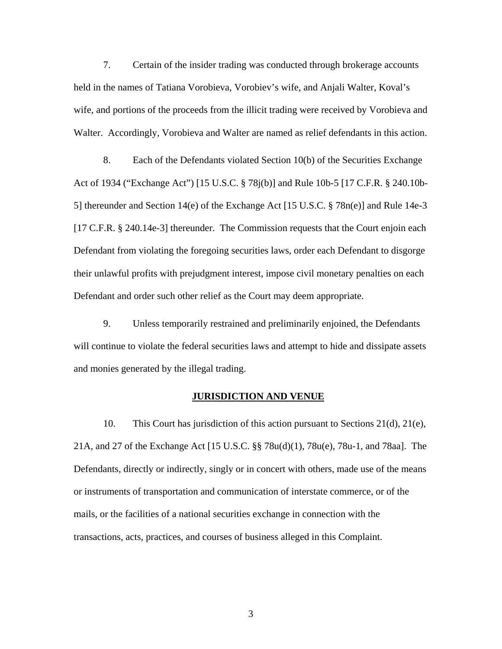7. Certain of the insider trading was conducted through brokerage accounts held in the names of Tatiana Vorobieva, Vorobiev's wife, and Anjali Walter, Koval's wife, and portions of the proceeds from the illicit trading were received by Vorobieva and Walter. Accordingly, Vorobieva and Walter are named as relief defendants in this action.

8. Each of the Defendants violated Section 10(b) of the Securities Exchange Act of 1934 ("Exchange Act") [15 U.S.C. § 78j(b)] and Rule 10b-5 [17 C.F.R. § 240.10b-5] thereunder and Section 14(e) of the Exchange Act [15 U.S.C. § 78n(e)] and Rule 14e-3 [17 C.F.R. § 240.14e-3] thereunder. The Commission requests that the Court enjoin each Defendant from violating the foregoing securities laws, order each Defendant to disgorge their unlawful profits with prejudgment interest, impose civil monetary penalties on each Defendant and order such other relief as the Court may deem appropriate.

9. Unless temporarily restrained and preliminarily enjoined, the Defendants will continue to violate the federal securities laws and attempt to hide and dissipate assets and monies generated by the illegal trading.

### **JURISDICTION AND VENUE**

10. This Court has jurisdiction of this action pursuant to Sections 21(d), 21(e), 21A, and 27 of the Exchange Act [15 U.S.C. §§ 78u(d)(1), 78u(e), 78u-1, and 78aa]. The Defendants, directly or indirectly, singly or in concert with others, made use of the means or instruments of transportation and communication of interstate commerce, or of the mails, or the facilities of a national securities exchange in connection with the transactions, acts, practices, and courses of business alleged in this Complaint.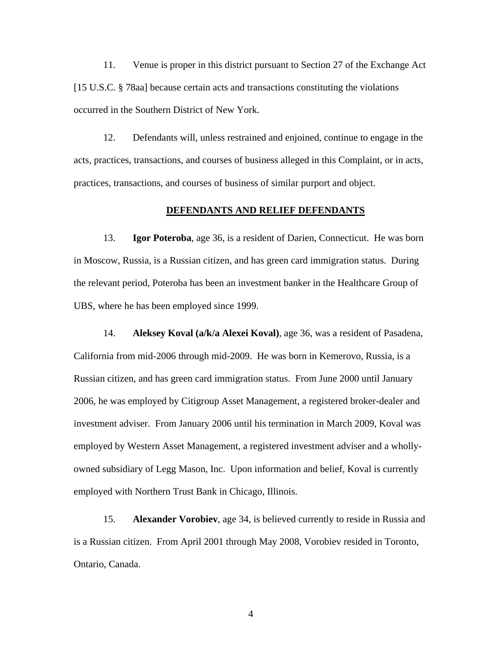11. Venue is proper in this district pursuant to Section 27 of the Exchange Act [15 U.S.C. § 78aa] because certain acts and transactions constituting the violations occurred in the Southern District of New York.

12. Defendants will, unless restrained and enjoined, continue to engage in the acts, practices, transactions, and courses of business alleged in this Complaint, or in acts, practices, transactions, and courses of business of similar purport and object.

## **DEFENDANTS AND RELIEF DEFENDANTS**

13. **Igor Poteroba**, age 36, is a resident of Darien, Connecticut. He was born in Moscow, Russia, is a Russian citizen, and has green card immigration status. During the relevant period, Poteroba has been an investment banker in the Healthcare Group of UBS, where he has been employed since 1999.

14. **Aleksey Koval (a/k/a Alexei Koval)**, age 36, was a resident of Pasadena, California from mid-2006 through mid-2009. He was born in Kemerovo, Russia, is a Russian citizen, and has green card immigration status. From June 2000 until January 2006, he was employed by Citigroup Asset Management, a registered broker-dealer and investment adviser. From January 2006 until his termination in March 2009, Koval was employed by Western Asset Management, a registered investment adviser and a whollyowned subsidiary of Legg Mason, Inc. Upon information and belief, Koval is currently employed with Northern Trust Bank in Chicago, Illinois.

15. **Alexander Vorobiev**, age 34, is believed currently to reside in Russia and is a Russian citizen. From April 2001 through May 2008, Vorobiev resided in Toronto, Ontario, Canada.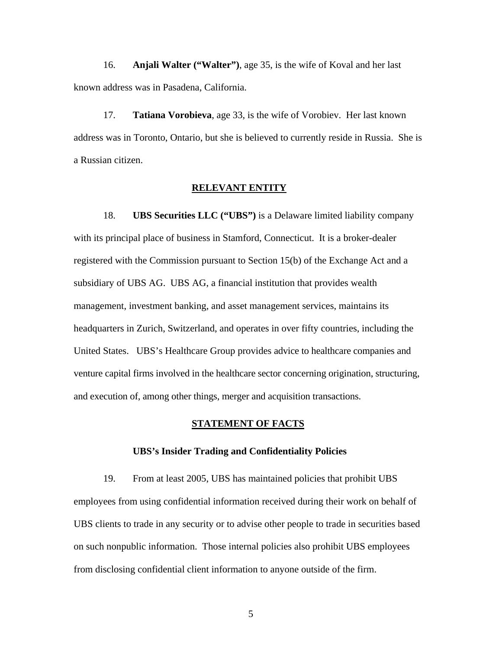16. **Anjali Walter ("Walter")**, age 35, is the wife of Koval and her last known address was in Pasadena, California.

17. **Tatiana Vorobieva**, age 33, is the wife of Vorobiev. Her last known address was in Toronto, Ontario, but she is believed to currently reside in Russia. She is a Russian citizen.

#### **RELEVANT ENTITY**

18. **UBS Securities LLC ("UBS")** is a Delaware limited liability company with its principal place of business in Stamford, Connecticut. It is a broker-dealer registered with the Commission pursuant to Section 15(b) of the Exchange Act and a subsidiary of UBS AG. UBS AG, a financial institution that provides wealth management, investment banking, and asset management services, maintains its headquarters in Zurich, Switzerland, and operates in over fifty countries, including the United States. UBS's Healthcare Group provides advice to healthcare companies and venture capital firms involved in the healthcare sector concerning origination, structuring, and execution of, among other things, merger and acquisition transactions.

## **STATEMENT OF FACTS**

#### **UBS's Insider Trading and Confidentiality Policies**

19. From at least 2005, UBS has maintained policies that prohibit UBS employees from using confidential information received during their work on behalf of UBS clients to trade in any security or to advise other people to trade in securities based on such nonpublic information. Those internal policies also prohibit UBS employees from disclosing confidential client information to anyone outside of the firm.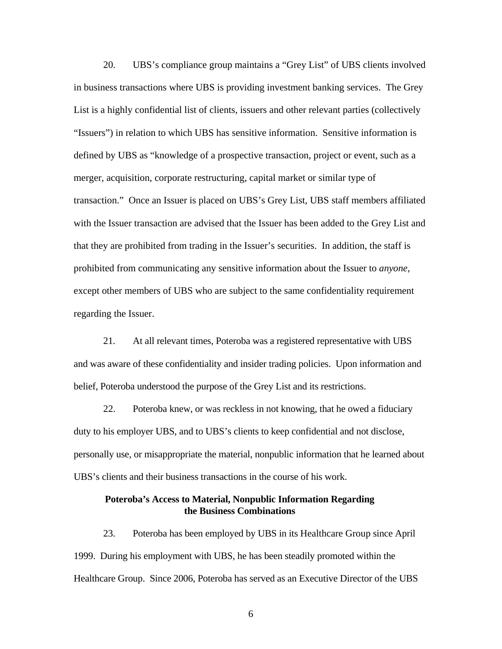20. UBS's compliance group maintains a "Grey List" of UBS clients involved in business transactions where UBS is providing investment banking services. The Grey List is a highly confidential list of clients, issuers and other relevant parties (collectively "Issuers") in relation to which UBS has sensitive information. Sensitive information is defined by UBS as "knowledge of a prospective transaction, project or event, such as a merger, acquisition, corporate restructuring, capital market or similar type of transaction." Once an Issuer is placed on UBS's Grey List, UBS staff members affiliated with the Issuer transaction are advised that the Issuer has been added to the Grey List and that they are prohibited from trading in the Issuer's securities. In addition, the staff is prohibited from communicating any sensitive information about the Issuer to *anyone*, except other members of UBS who are subject to the same confidentiality requirement regarding the Issuer.

21. At all relevant times, Poteroba was a registered representative with UBS and was aware of these confidentiality and insider trading policies. Upon information and belief, Poteroba understood the purpose of the Grey List and its restrictions.

22. Poteroba knew, or was reckless in not knowing, that he owed a fiduciary duty to his employer UBS, and to UBS's clients to keep confidential and not disclose, personally use, or misappropriate the material, nonpublic information that he learned about UBS's clients and their business transactions in the course of his work.

## **Poteroba's Access to Material, Nonpublic Information Regarding the Business Combinations**

23. Poteroba has been employed by UBS in its Healthcare Group since April 1999. During his employment with UBS, he has been steadily promoted within the Healthcare Group. Since 2006, Poteroba has served as an Executive Director of the UBS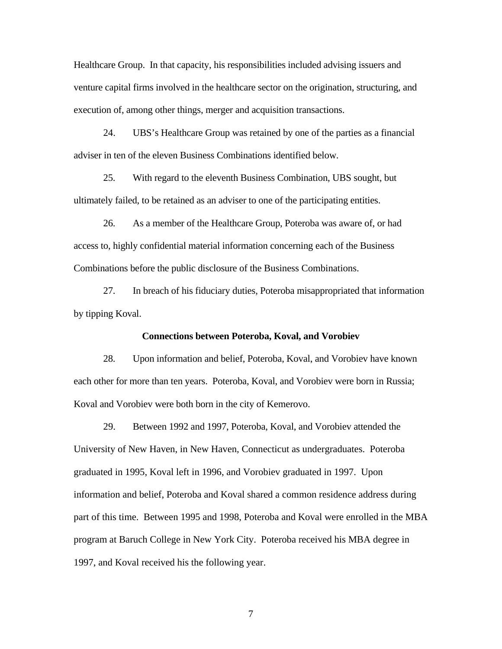Healthcare Group. In that capacity, his responsibilities included advising issuers and venture capital firms involved in the healthcare sector on the origination, structuring, and execution of, among other things, merger and acquisition transactions.

24. UBS's Healthcare Group was retained by one of the parties as a financial adviser in ten of the eleven Business Combinations identified below.

25. With regard to the eleventh Business Combination, UBS sought, but ultimately failed, to be retained as an adviser to one of the participating entities.

26. As a member of the Healthcare Group, Poteroba was aware of, or had access to, highly confidential material information concerning each of the Business Combinations before the public disclosure of the Business Combinations.

27. In breach of his fiduciary duties, Poteroba misappropriated that information by tipping Koval.

### **Connections between Poteroba, Koval, and Vorobiev**

28. Upon information and belief, Poteroba, Koval, and Vorobiev have known each other for more than ten years. Poteroba, Koval, and Vorobiev were born in Russia; Koval and Vorobiev were both born in the city of Kemerovo.

29. Between 1992 and 1997, Poteroba, Koval, and Vorobiev attended the University of New Haven, in New Haven, Connecticut as undergraduates. Poteroba graduated in 1995, Koval left in 1996, and Vorobiev graduated in 1997. Upon information and belief, Poteroba and Koval shared a common residence address during part of this time. Between 1995 and 1998, Poteroba and Koval were enrolled in the MBA program at Baruch College in New York City. Poteroba received his MBA degree in 1997, and Koval received his the following year.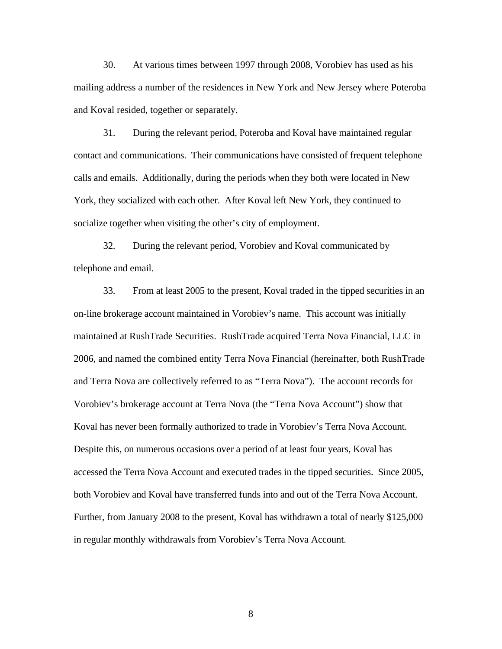30. At various times between 1997 through 2008, Vorobiev has used as his mailing address a number of the residences in New York and New Jersey where Poteroba and Koval resided, together or separately.

31. During the relevant period, Poteroba and Koval have maintained regular contact and communications. Their communications have consisted of frequent telephone calls and emails. Additionally, during the periods when they both were located in New York, they socialized with each other. After Koval left New York, they continued to socialize together when visiting the other's city of employment.

32. During the relevant period, Vorobiev and Koval communicated by telephone and email.

 on-line brokerage account maintained in Vorobiev's name. This account was initially 33. From at least 2005 to the present, Koval traded in the tipped securities in an maintained at RushTrade Securities. RushTrade acquired Terra Nova Financial, LLC in 2006, and named the combined entity Terra Nova Financial (hereinafter, both RushTrade and Terra Nova are collectively referred to as "Terra Nova"). The account records for Vorobiev's brokerage account at Terra Nova (the "Terra Nova Account") show that Koval has never been formally authorized to trade in Vorobiev's Terra Nova Account. Despite this, on numerous occasions over a period of at least four years, Koval has accessed the Terra Nova Account and executed trades in the tipped securities. Since 2005, both Vorobiev and Koval have transferred funds into and out of the Terra Nova Account. Further, from January 2008 to the present, Koval has withdrawn a total of nearly \$125,000 in regular monthly withdrawals from Vorobiev's Terra Nova Account.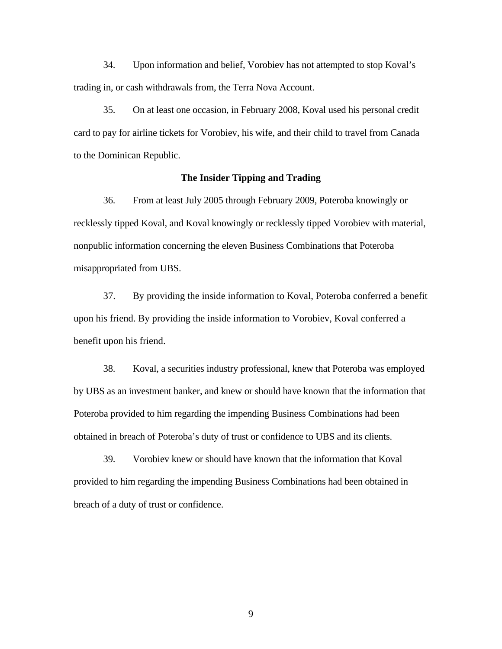34. Upon information and belief, Vorobiev has not attempted to stop Koval's trading in, or cash withdrawals from, the Terra Nova Account.

35. On at least one occasion, in February 2008, Koval used his personal credit card to pay for airline tickets for Vorobiev, his wife, and their child to travel from Canada to the Dominican Republic.

## **The Insider Tipping and Trading**

36. From at least July 2005 through February 2009, Poteroba knowingly or recklessly tipped Koval, and Koval knowingly or recklessly tipped Vorobiev with material, nonpublic information concerning the eleven Business Combinations that Poteroba misappropriated from UBS.

37. By providing the inside information to Koval, Poteroba conferred a benefit upon his friend. By providing the inside information to Vorobiev, Koval conferred a benefit upon his friend.

38. Koval, a securities industry professional, knew that Poteroba was employed by UBS as an investment banker, and knew or should have known that the information that Poteroba provided to him regarding the impending Business Combinations had been obtained in breach of Poteroba's duty of trust or confidence to UBS and its clients.

39. Vorobiev knew or should have known that the information that Koval provided to him regarding the impending Business Combinations had been obtained in breach of a duty of trust or confidence.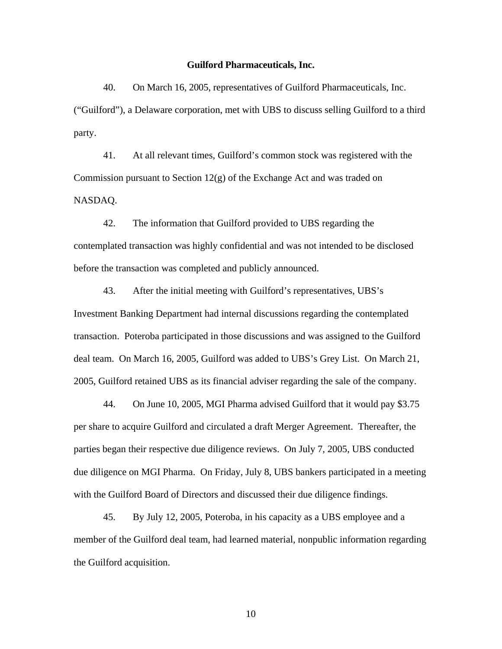#### **Guilford Pharmaceuticals, Inc.**

40. On March 16, 2005, representatives of Guilford Pharmaceuticals, Inc. ("Guilford"), a Delaware corporation, met with UBS to discuss selling Guilford to a third party.

41. At all relevant times, Guilford's common stock was registered with the Commission pursuant to Section 12(g) of the Exchange Act and was traded on NASDAQ.

42. The information that Guilford provided to UBS regarding the contemplated transaction was highly confidential and was not intended to be disclosed before the transaction was completed and publicly announced.

43. After the initial meeting with Guilford's representatives, UBS's Investment Banking Department had internal discussions regarding the contemplated transaction. Poteroba participated in those discussions and was assigned to the Guilford deal team. On March 16, 2005, Guilford was added to UBS's Grey List. On March 21, 2005, Guilford retained UBS as its financial adviser regarding the sale of the company.

44. On June 10, 2005, MGI Pharma advised Guilford that it would pay \$3.75 per share to acquire Guilford and circulated a draft Merger Agreement. Thereafter, the parties began their respective due diligence reviews. On July 7, 2005, UBS conducted due diligence on MGI Pharma. On Friday, July 8, UBS bankers participated in a meeting with the Guilford Board of Directors and discussed their due diligence findings.

45. By July 12, 2005, Poteroba, in his capacity as a UBS employee and a member of the Guilford deal team, had learned material, nonpublic information regarding the Guilford acquisition.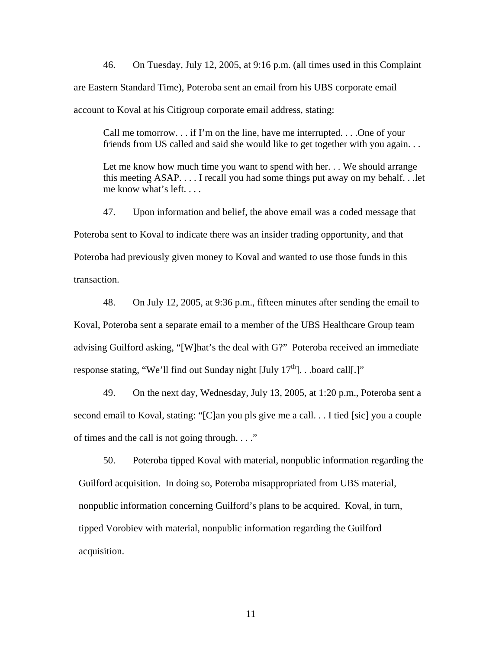46. On Tuesday, July 12, 2005, at 9:16 p.m. (all times used in this Complaint are Eastern Standard Time), Poteroba sent an email from his UBS corporate email account to Koval at his Citigroup corporate email address, stating:

Call me tomorrow. . . if I'm on the line, have me interrupted. . . .One of your friends from US called and said she would like to get together with you again. . .

Let me know how much time you want to spend with her. . We should arrange this meeting ASAP. . . . I recall you had some things put away on my behalf. . .let me know what's left. . . .

47. Upon information and belief, the above email was a coded message that Poteroba sent to Koval to indicate there was an insider trading opportunity, and that Poteroba had previously given money to Koval and wanted to use those funds in this transaction.

48. On July 12, 2005, at 9:36 p.m., fifteen minutes after sending the email to Koval, Poteroba sent a separate email to a member of the UBS Healthcare Group team advising Guilford asking, "[W]hat's the deal with G?" Poteroba received an immediate response stating, "We'll find out Sunday night  $[July 17<sup>th</sup>]$ . . board call $[.]$ "

49. On the next day, Wednesday, July 13, 2005, at 1:20 p.m., Poteroba sent a second email to Koval, stating: "[C]an you pls give me a call. . . I tied [sic] you a couple of times and the call is not going through. . . ."

 nonpublic information concerning Guilford's plans to be acquired. Koval, in turn, 50. Poteroba tipped Koval with material, nonpublic information regarding the Guilford acquisition. In doing so, Poteroba misappropriated from UBS material, tipped Vorobiev with material, nonpublic information regarding the Guilford acquisition.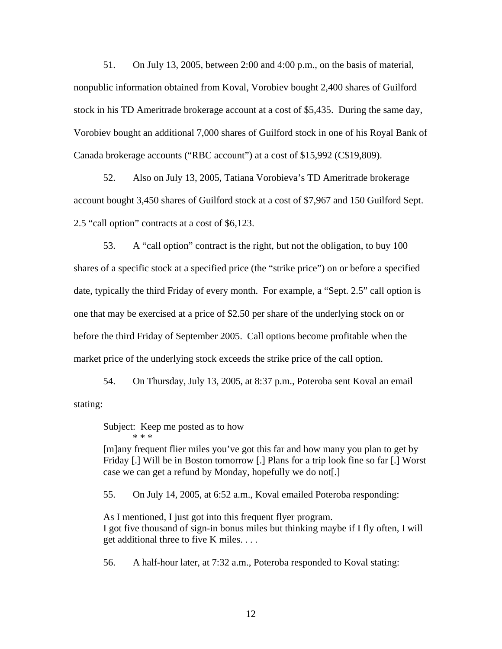51. On July 13, 2005, between 2:00 and 4:00 p.m., on the basis of material, nonpublic information obtained from Koval, Vorobiev bought 2,400 shares of Guilford stock in his TD Ameritrade brokerage account at a cost of \$5,435. During the same day, Vorobiev bought an additional 7,000 shares of Guilford stock in one of his Royal Bank of Canada brokerage accounts ("RBC account") at a cost of \$15,992 (C\$19,809).

52. Also on July 13, 2005, Tatiana Vorobieva's TD Ameritrade brokerage account bought 3,450 shares of Guilford stock at a cost of \$7,967 and 150 Guilford Sept. 2.5 "call option" contracts at a cost of \$6,123.

53. A "call option" contract is the right, but not the obligation, to buy 100 shares of a specific stock at a specified price (the "strike price") on or before a specified date, typically the third Friday of every month. For example, a "Sept. 2.5" call option is one that may be exercised at a price of \$2.50 per share of the underlying stock on or before the third Friday of September 2005. Call options become profitable when the market price of the underlying stock exceeds the strike price of the call option.

54. On Thursday, July 13, 2005, at 8:37 p.m., Poteroba sent Koval an email stating:

Subject: Keep me posted as to how \* \* \*

[m]any frequent flier miles you've got this far and how many you plan to get by Friday [.] Will be in Boston tomorrow [.] Plans for a trip look fine so far [.] Worst case we can get a refund by Monday, hopefully we do not[.]

55. On July 14, 2005, at 6:52 a.m., Koval emailed Poteroba responding:

As I mentioned, I just got into this frequent flyer program. I got five thousand of sign-in bonus miles but thinking maybe if I fly often, I will get additional three to five K miles. . . .

56. A half-hour later, at 7:32 a.m., Poteroba responded to Koval stating: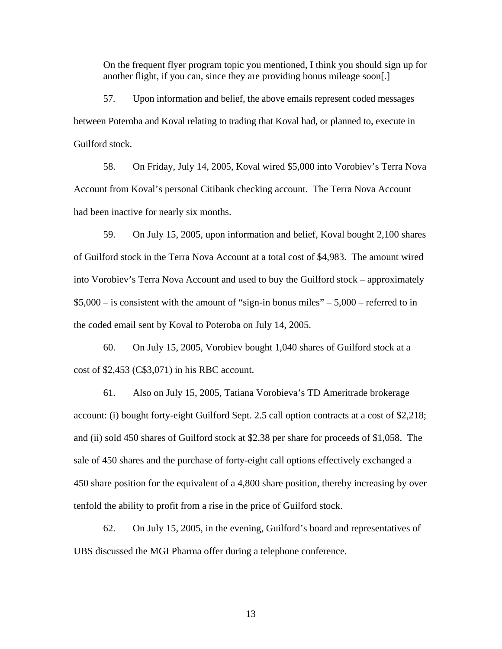On the frequent flyer program topic you mentioned, I think you should sign up for another flight, if you can, since they are providing bonus mileage soon[.]

57. Upon information and belief, the above emails represent coded messages between Poteroba and Koval relating to trading that Koval had, or planned to, execute in Guilford stock.

58. On Friday, July 14, 2005, Koval wired \$5,000 into Vorobiev's Terra Nova Account from Koval's personal Citibank checking account. The Terra Nova Account had been inactive for nearly six months.

59. On July 15, 2005, upon information and belief, Koval bought 2,100 shares of Guilford stock in the Terra Nova Account at a total cost of \$4,983. The amount wired into Vorobiev's Terra Nova Account and used to buy the Guilford stock – approximately  $$5,000 - is consistent with the amount of "sign-in bonus miles" - 5,000 - referred to in$ the coded email sent by Koval to Poteroba on July 14, 2005.

60. On July 15, 2005, Vorobiev bought 1,040 shares of Guilford stock at a cost of \$2,453 (C\$3,071) in his RBC account.

61. Also on July 15, 2005, Tatiana Vorobieva's TD Ameritrade brokerage account: (i) bought forty-eight Guilford Sept. 2.5 call option contracts at a cost of \$2,218; and (ii) sold 450 shares of Guilford stock at \$2.38 per share for proceeds of \$1,058. The sale of 450 shares and the purchase of forty-eight call options effectively exchanged a 450 share position for the equivalent of a 4,800 share position, thereby increasing by over tenfold the ability to profit from a rise in the price of Guilford stock.

62. On July 15, 2005, in the evening, Guilford's board and representatives of UBS discussed the MGI Pharma offer during a telephone conference.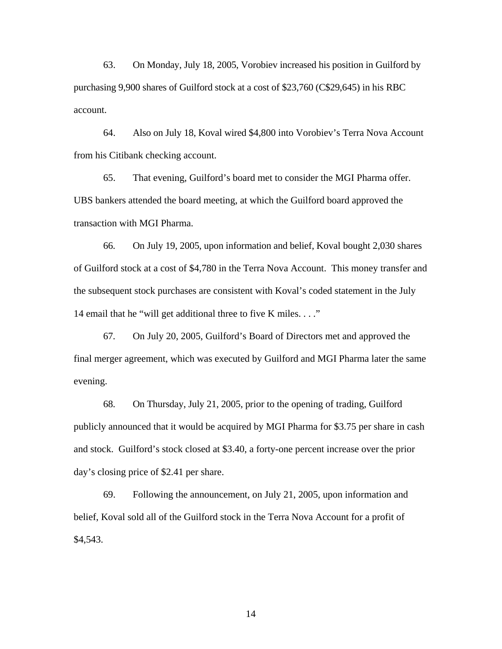63. On Monday, July 18, 2005, Vorobiev increased his position in Guilford by purchasing 9,900 shares of Guilford stock at a cost of \$23,760 (C\$29,645) in his RBC account.

 64. Also on July 18, Koval wired \$4,800 into Vorobiev's Terra Nova Account from his Citibank checking account.

65. That evening, Guilford's board met to consider the MGI Pharma offer. UBS bankers attended the board meeting, at which the Guilford board approved the transaction with MGI Pharma.

66. On July 19, 2005, upon information and belief, Koval bought 2,030 shares of Guilford stock at a cost of \$4,780 in the Terra Nova Account. This money transfer and the subsequent stock purchases are consistent with Koval's coded statement in the July 14 email that he "will get additional three to five K miles. . . ."

67. On July 20, 2005, Guilford's Board of Directors met and approved the final merger agreement, which was executed by Guilford and MGI Pharma later the same evening.

68. On Thursday, July 21, 2005, prior to the opening of trading, Guilford publicly announced that it would be acquired by MGI Pharma for \$3.75 per share in cash and stock. Guilford's stock closed at \$3.40, a forty-one percent increase over the prior day's closing price of \$2.41 per share.

69. Following the announcement, on July 21, 2005, upon information and belief, Koval sold all of the Guilford stock in the Terra Nova Account for a profit of \$4,543.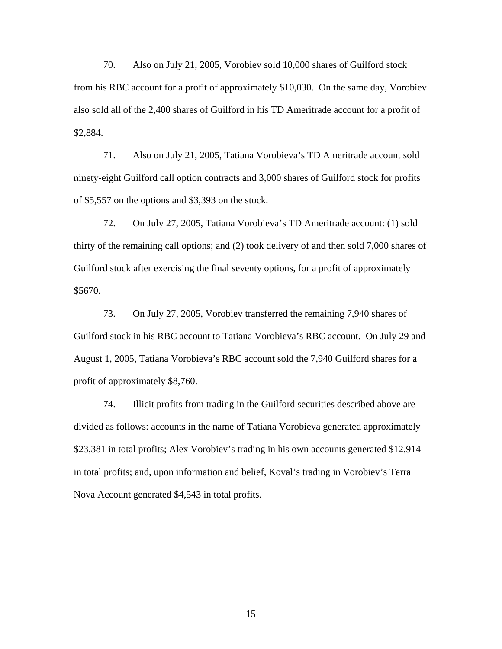70. Also on July 21, 2005, Vorobiev sold 10,000 shares of Guilford stock from his RBC account for a profit of approximately \$10,030. On the same day, Vorobiev also sold all of the 2,400 shares of Guilford in his TD Ameritrade account for a profit of \$2,884.

71. Also on July 21, 2005, Tatiana Vorobieva's TD Ameritrade account sold ninety-eight Guilford call option contracts and 3,000 shares of Guilford stock for profits of \$5,557 on the options and \$3,393 on the stock.

72. On July 27, 2005, Tatiana Vorobieva's TD Ameritrade account: (1) sold thirty of the remaining call options; and (2) took delivery of and then sold 7,000 shares of Guilford stock after exercising the final seventy options, for a profit of approximately \$5670.

73. On July 27, 2005, Vorobiev transferred the remaining 7,940 shares of Guilford stock in his RBC account to Tatiana Vorobieva's RBC account. On July 29 and August 1, 2005, Tatiana Vorobieva's RBC account sold the 7,940 Guilford shares for a profit of approximately \$8,760.

74. Illicit profits from trading in the Guilford securities described above are divided as follows: accounts in the name of Tatiana Vorobieva generated approximately \$23,381 in total profits; Alex Vorobiev's trading in his own accounts generated \$12,914 in total profits; and, upon information and belief, Koval's trading in Vorobiev's Terra Nova Account generated \$4,543 in total profits.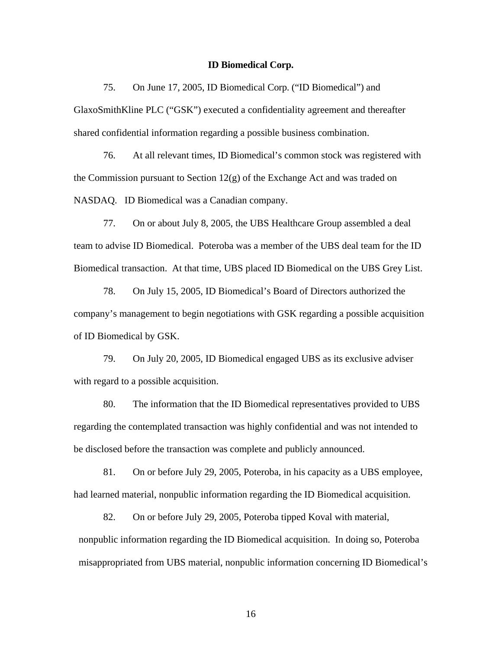### **ID Biomedical Corp.**

75. On June 17, 2005, ID Biomedical Corp. ("ID Biomedical") and GlaxoSmithKline PLC ("GSK") executed a confidentiality agreement and thereafter shared confidential information regarding a possible business combination.

76. At all relevant times, ID Biomedical's common stock was registered with the Commission pursuant to Section 12(g) of the Exchange Act and was traded on NASDAQ. ID Biomedical was a Canadian company.

77. On or about July 8, 2005, the UBS Healthcare Group assembled a deal team to advise ID Biomedical. Poteroba was a member of the UBS deal team for the ID Biomedical transaction. At that time, UBS placed ID Biomedical on the UBS Grey List.

78. On July 15, 2005, ID Biomedical's Board of Directors authorized the company's management to begin negotiations with GSK regarding a possible acquisition of ID Biomedical by GSK.

79. On July 20, 2005, ID Biomedical engaged UBS as its exclusive adviser with regard to a possible acquisition.

80. The information that the ID Biomedical representatives provided to UBS regarding the contemplated transaction was highly confidential and was not intended to be disclosed before the transaction was complete and publicly announced.

81. On or before July 29, 2005, Poteroba, in his capacity as a UBS employee, had learned material, nonpublic information regarding the ID Biomedical acquisition.

82. On or before July 29, 2005, Poteroba tipped Koval with material, nonpublic information regarding the ID Biomedical acquisition. In doing so, Poteroba misappropriated from UBS material, nonpublic information concerning ID Biomedical's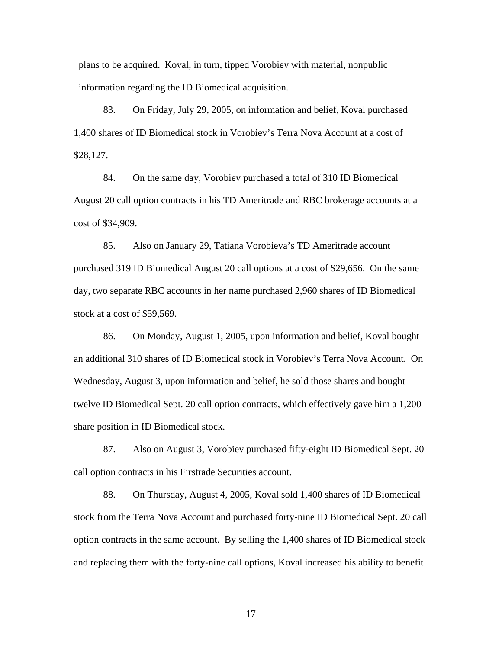plans to be acquired. Koval, in turn, tipped Vorobiev with material, nonpublic information regarding the ID Biomedical acquisition.

83. On Friday, July 29, 2005, on information and belief, Koval purchased 1,400 shares of ID Biomedical stock in Vorobiev's Terra Nova Account at a cost of \$28,127.

84. On the same day, Vorobiev purchased a total of 310 ID Biomedical August 20 call option contracts in his TD Ameritrade and RBC brokerage accounts at a cost of \$34,909.

85. Also on January 29, Tatiana Vorobieva's TD Ameritrade account purchased 319 ID Biomedical August 20 call options at a cost of \$29,656. On the same day, two separate RBC accounts in her name purchased 2,960 shares of ID Biomedical stock at a cost of \$59,569.

86. On Monday, August 1, 2005, upon information and belief, Koval bought an additional 310 shares of ID Biomedical stock in Vorobiev's Terra Nova Account. On Wednesday, August 3, upon information and belief, he sold those shares and bought twelve ID Biomedical Sept. 20 call option contracts, which effectively gave him a 1,200 share position in ID Biomedical stock.

87. Also on August 3, Vorobiev purchased fifty-eight ID Biomedical Sept. 20 call option contracts in his Firstrade Securities account.

88. On Thursday, August 4, 2005, Koval sold 1,400 shares of ID Biomedical stock from the Terra Nova Account and purchased forty-nine ID Biomedical Sept. 20 call option contracts in the same account. By selling the 1,400 shares of ID Biomedical stock and replacing them with the forty-nine call options, Koval increased his ability to benefit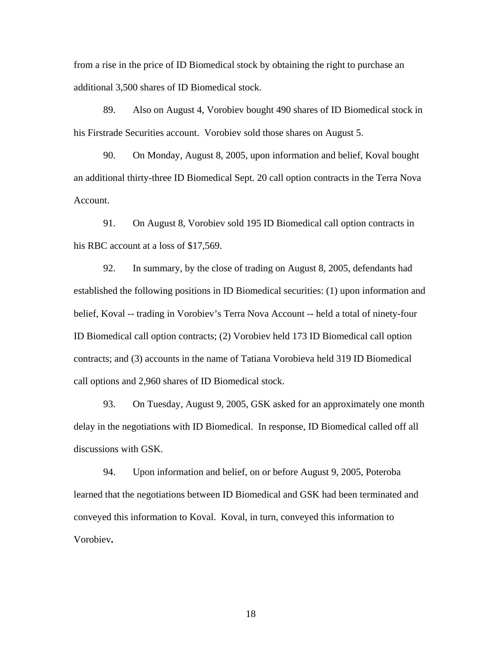from a rise in the price of ID Biomedical stock by obtaining the right to purchase an additional 3,500 shares of ID Biomedical stock.

89. Also on August 4, Vorobiev bought 490 shares of ID Biomedical stock in his Firstrade Securities account. Vorobiev sold those shares on August 5.

90. On Monday, August 8, 2005, upon information and belief, Koval bought an additional thirty-three ID Biomedical Sept. 20 call option contracts in the Terra Nova Account.

91. On August 8, Vorobiev sold 195 ID Biomedical call option contracts in his RBC account at a loss of \$17,569.

92. In summary, by the close of trading on August 8, 2005, defendants had established the following positions in ID Biomedical securities: (1) upon information and belief, Koval -- trading in Vorobiev's Terra Nova Account -- held a total of ninety-four ID Biomedical call option contracts; (2) Vorobiev held 173 ID Biomedical call option contracts; and (3) accounts in the name of Tatiana Vorobieva held 319 ID Biomedical call options and 2,960 shares of ID Biomedical stock.

93. On Tuesday, August 9, 2005, GSK asked for an approximately one month delay in the negotiations with ID Biomedical. In response, ID Biomedical called off all discussions with GSK.

94. Upon information and belief, on or before August 9, 2005, Poteroba learned that the negotiations between ID Biomedical and GSK had been terminated and conveyed this information to Koval. Koval, in turn, conveyed this information to Vorobiev**.**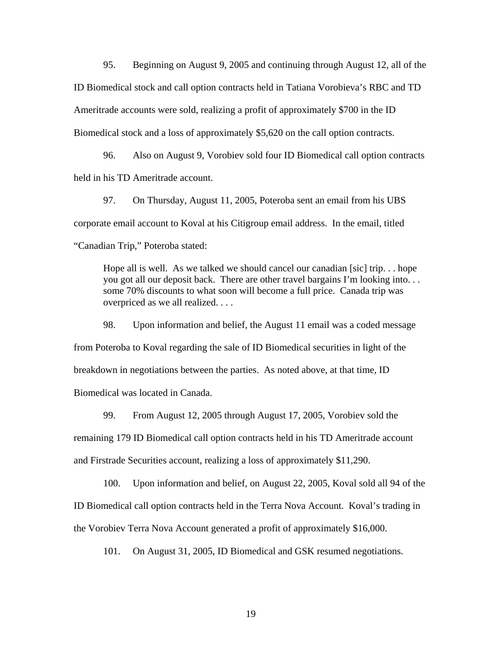95. Beginning on August 9, 2005 and continuing through August 12, all of the ID Biomedical stock and call option contracts held in Tatiana Vorobieva's RBC and TD Ameritrade accounts were sold, realizing a profit of approximately \$700 in the ID Biomedical stock and a loss of approximately \$5,620 on the call option contracts.

96. Also on August 9, Vorobiev sold four ID Biomedical call option contracts held in his TD Ameritrade account.

97. On Thursday, August 11, 2005, Poteroba sent an email from his UBS corporate email account to Koval at his Citigroup email address. In the email, titled "Canadian Trip," Poteroba stated:

Hope all is well. As we talked we should cancel our canadian [sic] trip. . . hope you got all our deposit back. There are other travel bargains I'm looking into. . . some 70% discounts to what soon will become a full price. Canada trip was overpriced as we all realized. . . .

98. Upon information and belief, the August 11 email was a coded message from Poteroba to Koval regarding the sale of ID Biomedical securities in light of the breakdown in negotiations between the parties. As noted above, at that time, ID Biomedical was located in Canada.

99. From August 12, 2005 through August 17, 2005, Vorobiev sold the remaining 179 ID Biomedical call option contracts held in his TD Ameritrade account and Firstrade Securities account, realizing a loss of approximately \$11,290.

100. Upon information and belief, on August 22, 2005, Koval sold all 94 of the ID Biomedical call option contracts held in the Terra Nova Account. Koval's trading in the Vorobiev Terra Nova Account generated a profit of approximately \$16,000.

101. On August 31, 2005, ID Biomedical and GSK resumed negotiations.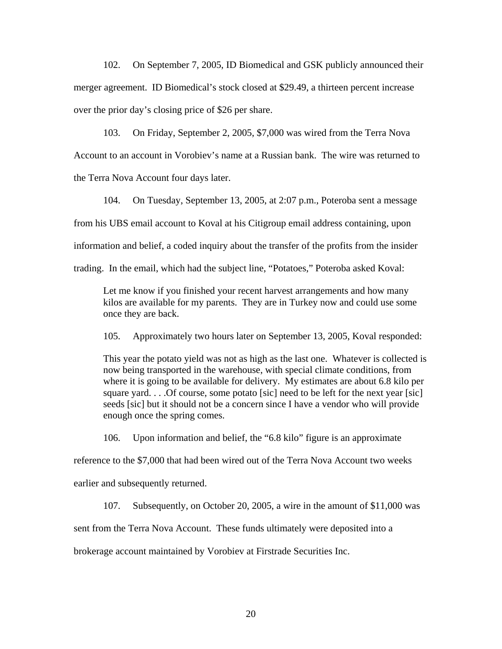102. On September 7, 2005, ID Biomedical and GSK publicly announced their merger agreement. ID Biomedical's stock closed at \$29.49, a thirteen percent increase over the prior day's closing price of \$26 per share.

103. On Friday, September 2, 2005, \$7,000 was wired from the Terra Nova Account to an account in Vorobiev's name at a Russian bank. The wire was returned to the Terra Nova Account four days later.

104. On Tuesday, September 13, 2005, at 2:07 p.m., Poteroba sent a message from his UBS email account to Koval at his Citigroup email address containing, upon information and belief, a coded inquiry about the transfer of the profits from the insider trading. In the email, which had the subject line, "Potatoes," Poteroba asked Koval:

Let me know if you finished your recent harvest arrangements and how many kilos are available for my parents. They are in Turkey now and could use some once they are back.

105. Approximately two hours later on September 13, 2005, Koval responded:

This year the potato yield was not as high as the last one. Whatever is collected is now being transported in the warehouse, with special climate conditions, from where it is going to be available for delivery. My estimates are about 6.8 kilo per square yard... Of course, some potato [sic] need to be left for the next year [sic] seeds [sic] but it should not be a concern since I have a vendor who will provide enough once the spring comes.

106. Upon information and belief, the "6.8 kilo" figure is an approximate

reference to the \$7,000 that had been wired out of the Terra Nova Account two weeks

earlier and subsequently returned.

107. Subsequently, on October 20, 2005, a wire in the amount of \$11,000 was

sent from the Terra Nova Account. These funds ultimately were deposited into a

brokerage account maintained by Vorobiev at Firstrade Securities Inc.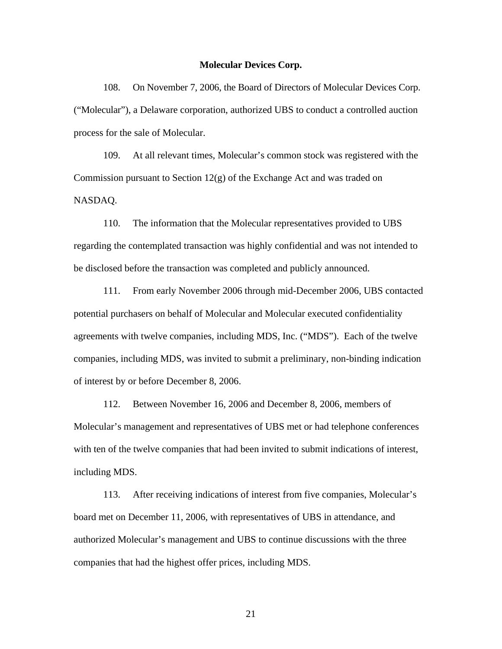#### **Molecular Devices Corp.**

108. On November 7, 2006, the Board of Directors of Molecular Devices Corp. ("Molecular"), a Delaware corporation, authorized UBS to conduct a controlled auction process for the sale of Molecular.

109. At all relevant times, Molecular's common stock was registered with the Commission pursuant to Section 12(g) of the Exchange Act and was traded on NASDAQ.

110. The information that the Molecular representatives provided to UBS regarding the contemplated transaction was highly confidential and was not intended to be disclosed before the transaction was completed and publicly announced.

111. From early November 2006 through mid-December 2006, UBS contacted potential purchasers on behalf of Molecular and Molecular executed confidentiality agreements with twelve companies, including MDS, Inc. ("MDS"). Each of the twelve companies, including MDS, was invited to submit a preliminary, non-binding indication of interest by or before December 8, 2006.

112. Between November 16, 2006 and December 8, 2006, members of Molecular's management and representatives of UBS met or had telephone conferences with ten of the twelve companies that had been invited to submit indications of interest, including MDS.

113. After receiving indications of interest from five companies, Molecular's board met on December 11, 2006, with representatives of UBS in attendance, and authorized Molecular's management and UBS to continue discussions with the three companies that had the highest offer prices, including MDS.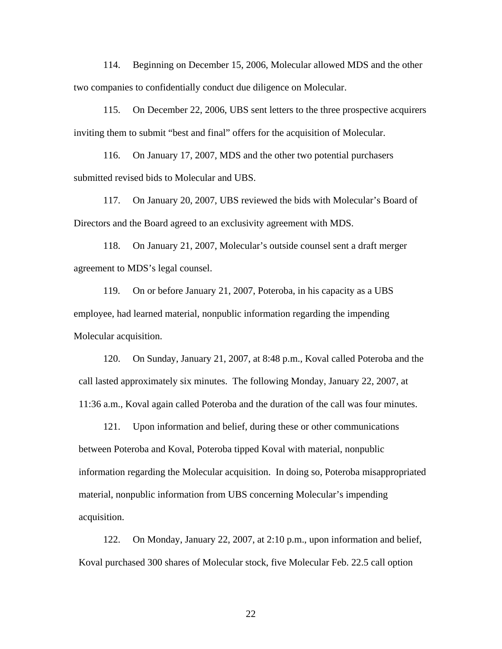114. Beginning on December 15, 2006, Molecular allowed MDS and the other two companies to confidentially conduct due diligence on Molecular.

115. On December 22, 2006, UBS sent letters to the three prospective acquirers inviting them to submit "best and final" offers for the acquisition of Molecular.

116. On January 17, 2007, MDS and the other two potential purchasers submitted revised bids to Molecular and UBS.

117. On January 20, 2007, UBS reviewed the bids with Molecular's Board of Directors and the Board agreed to an exclusivity agreement with MDS.

118. On January 21, 2007, Molecular's outside counsel sent a draft merger agreement to MDS's legal counsel.

119. On or before January 21, 2007, Poteroba, in his capacity as a UBS employee, had learned material, nonpublic information regarding the impending Molecular acquisition.

120. On Sunday, January 21, 2007, at 8:48 p.m., Koval called Poteroba and the call lasted approximately six minutes. The following Monday, January 22, 2007, at 11:36 a.m., Koval again called Poteroba and the duration of the call was four minutes.

121. Upon information and belief, during these or other communications between Poteroba and Koval, Poteroba tipped Koval with material, nonpublic information regarding the Molecular acquisition. In doing so, Poteroba misappropriated material, nonpublic information from UBS concerning Molecular's impending acquisition.

122. On Monday, January 22, 2007, at 2:10 p.m., upon information and belief, Koval purchased 300 shares of Molecular stock, five Molecular Feb. 22.5 call option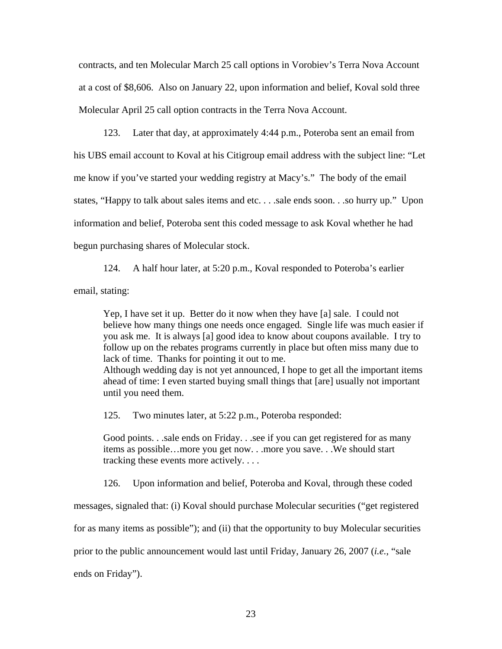contracts, and ten Molecular March 25 call options in Vorobiev's Terra Nova Account at a cost of \$8,606. Also on January 22, upon information and belief, Koval sold three Molecular April 25 call option contracts in the Terra Nova Account.

123. Later that day, at approximately 4:44 p.m., Poteroba sent an email from his UBS email account to Koval at his Citigroup email address with the subject line: "Let me know if you've started your wedding registry at Macy's." The body of the email states, "Happy to talk about sales items and etc. . . .sale ends soon. . .so hurry up." Upon information and belief, Poteroba sent this coded message to ask Koval whether he had begun purchasing shares of Molecular stock.

124. A half hour later, at 5:20 p.m., Koval responded to Poteroba's earlier email, stating:

Yep, I have set it up. Better do it now when they have [a] sale. I could not believe how many things one needs once engaged. Single life was much easier if you ask me. It is always [a] good idea to know about coupons available. I try to follow up on the rebates programs currently in place but often miss many due to lack of time. Thanks for pointing it out to me. Although wedding day is not yet announced, I hope to get all the important items ahead of time: I even started buying small things that [are] usually not important until you need them.

125. Two minutes later, at 5:22 p.m., Poteroba responded:

Good points. . .sale ends on Friday. . .see if you can get registered for as many items as possible…more you get now. . .more you save. . .We should start tracking these events more actively. . . .

126. Upon information and belief, Poteroba and Koval, through these coded

messages, signaled that: (i) Koval should purchase Molecular securities ("get registered

for as many items as possible"); and (ii) that the opportunity to buy Molecular securities

prior to the public announcement would last until Friday, January 26, 2007 (*i.e.*, "sale

ends on Friday").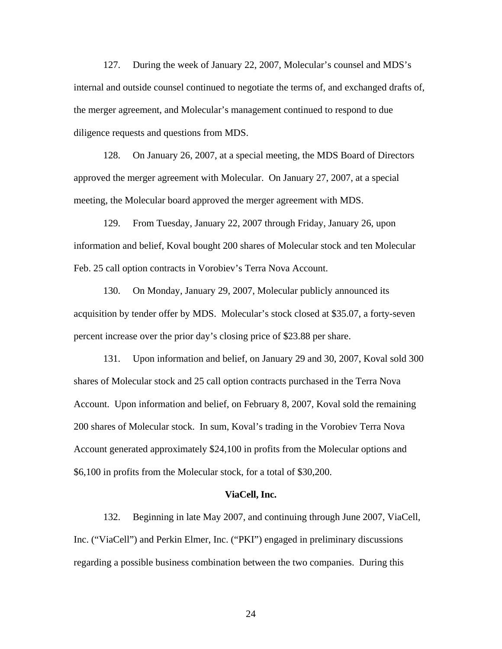127. During the week of January 22, 2007, Molecular's counsel and MDS's internal and outside counsel continued to negotiate the terms of, and exchanged drafts of, the merger agreement, and Molecular's management continued to respond to due diligence requests and questions from MDS.

128. On January 26, 2007, at a special meeting, the MDS Board of Directors approved the merger agreement with Molecular. On January 27, 2007, at a special meeting, the Molecular board approved the merger agreement with MDS.

129. From Tuesday, January 22, 2007 through Friday, January 26, upon information and belief, Koval bought 200 shares of Molecular stock and ten Molecular Feb. 25 call option contracts in Vorobiev's Terra Nova Account.

130. On Monday, January 29, 2007, Molecular publicly announced its acquisition by tender offer by MDS. Molecular's stock closed at \$35.07, a forty-seven percent increase over the prior day's closing price of \$23.88 per share.

131. Upon information and belief, on January 29 and 30, 2007, Koval sold 300 shares of Molecular stock and 25 call option contracts purchased in the Terra Nova Account. Upon information and belief, on February 8, 2007, Koval sold the remaining 200 shares of Molecular stock. In sum, Koval's trading in the Vorobiev Terra Nova Account generated approximately \$24,100 in profits from the Molecular options and \$6,100 in profits from the Molecular stock, for a total of \$30,200.

#### **ViaCell, Inc.**

132. Beginning in late May 2007, and continuing through June 2007, ViaCell, Inc. ("ViaCell") and Perkin Elmer, Inc. ("PKI") engaged in preliminary discussions regarding a possible business combination between the two companies. During this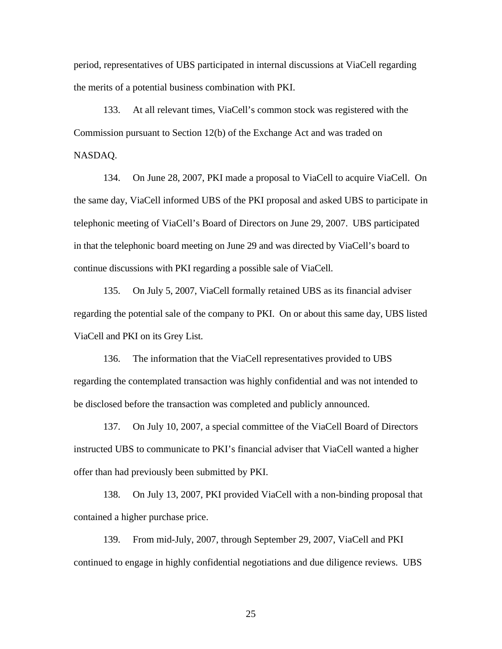period, representatives of UBS participated in internal discussions at ViaCell regarding the merits of a potential business combination with PKI.

133. At all relevant times, ViaCell's common stock was registered with the Commission pursuant to Section 12(b) of the Exchange Act and was traded on NASDAQ.

134. On June 28, 2007, PKI made a proposal to ViaCell to acquire ViaCell. On the same day, ViaCell informed UBS of the PKI proposal and asked UBS to participate in telephonic meeting of ViaCell's Board of Directors on June 29, 2007. UBS participated in that the telephonic board meeting on June 29 and was directed by ViaCell's board to continue discussions with PKI regarding a possible sale of ViaCell.

 regarding the potential sale of the company to PKI. On or about this same day, UBS listed 135. On July 5, 2007, ViaCell formally retained UBS as its financial adviser ViaCell and PKI on its Grey List.

136. The information that the ViaCell representatives provided to UBS regarding the contemplated transaction was highly confidential and was not intended to be disclosed before the transaction was completed and publicly announced.

137. On July 10, 2007, a special committee of the ViaCell Board of Directors instructed UBS to communicate to PKI's financial adviser that ViaCell wanted a higher offer than had previously been submitted by PKI.

138. On July 13, 2007, PKI provided ViaCell with a non-binding proposal that contained a higher purchase price.

139. From mid-July, 2007, through September 29, 2007, ViaCell and PKI continued to engage in highly confidential negotiations and due diligence reviews. UBS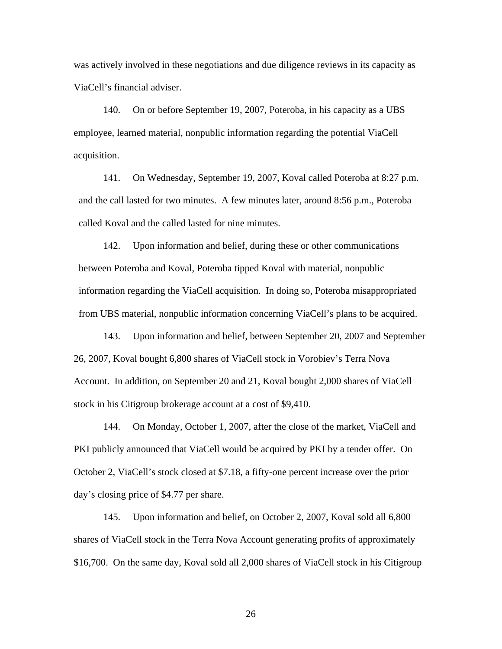was actively involved in these negotiations and due diligence reviews in its capacity as ViaCell's financial adviser.

140. On or before September 19, 2007, Poteroba, in his capacity as a UBS employee, learned material, nonpublic information regarding the potential ViaCell acquisition.

141. On Wednesday, September 19, 2007, Koval called Poteroba at 8:27 p.m. and the call lasted for two minutes. A few minutes later, around 8:56 p.m., Poteroba called Koval and the called lasted for nine minutes.

142. Upon information and belief, during these or other communications between Poteroba and Koval, Poteroba tipped Koval with material, nonpublic information regarding the ViaCell acquisition. In doing so, Poteroba misappropriated from UBS material, nonpublic information concerning ViaCell's plans to be acquired.

143. Upon information and belief, between September 20, 2007 and September 26, 2007, Koval bought 6,800 shares of ViaCell stock in Vorobiev's Terra Nova Account. In addition, on September 20 and 21, Koval bought 2,000 shares of ViaCell stock in his Citigroup brokerage account at a cost of \$9,410.

144. On Monday, October 1, 2007, after the close of the market, ViaCell and PKI publicly announced that ViaCell would be acquired by PKI by a tender offer. On October 2, ViaCell's stock closed at \$7.18, a fifty-one percent increase over the prior day's closing price of \$4.77 per share.

145. Upon information and belief, on October 2, 2007, Koval sold all 6,800 shares of ViaCell stock in the Terra Nova Account generating profits of approximately \$16,700. On the same day, Koval sold all 2,000 shares of ViaCell stock in his Citigroup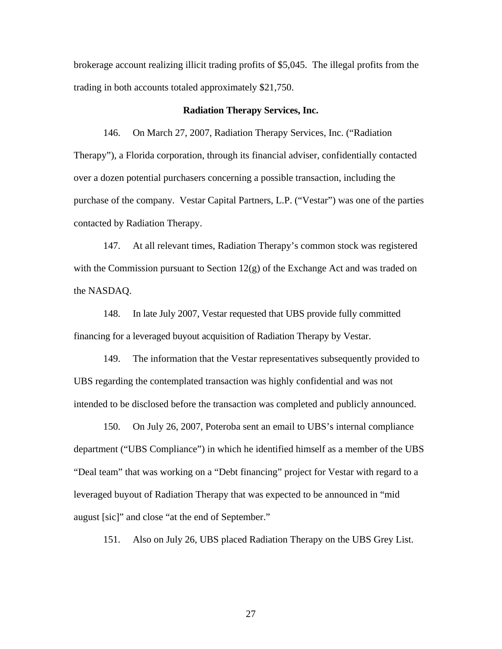brokerage account realizing illicit trading profits of \$5,045. The illegal profits from the trading in both accounts totaled approximately \$21,750.

## **Radiation Therapy Services, Inc.**

146. On March 27, 2007, Radiation Therapy Services, Inc. ("Radiation Therapy"), a Florida corporation, through its financial adviser, confidentially contacted over a dozen potential purchasers concerning a possible transaction, including the purchase of the company. Vestar Capital Partners, L.P. ("Vestar") was one of the parties contacted by Radiation Therapy.

147. At all relevant times, Radiation Therapy's common stock was registered with the Commission pursuant to Section  $12(g)$  of the Exchange Act and was traded on the NASDAQ.

148. In late July 2007, Vestar requested that UBS provide fully committed financing for a leveraged buyout acquisition of Radiation Therapy by Vestar.

149. The information that the Vestar representatives subsequently provided to UBS regarding the contemplated transaction was highly confidential and was not intended to be disclosed before the transaction was completed and publicly announced.

150. On July 26, 2007, Poteroba sent an email to UBS's internal compliance department ("UBS Compliance") in which he identified himself as a member of the UBS "Deal team" that was working on a "Debt financing" project for Vestar with regard to a leveraged buyout of Radiation Therapy that was expected to be announced in "mid august [sic]" and close "at the end of September."

151. Also on July 26, UBS placed Radiation Therapy on the UBS Grey List.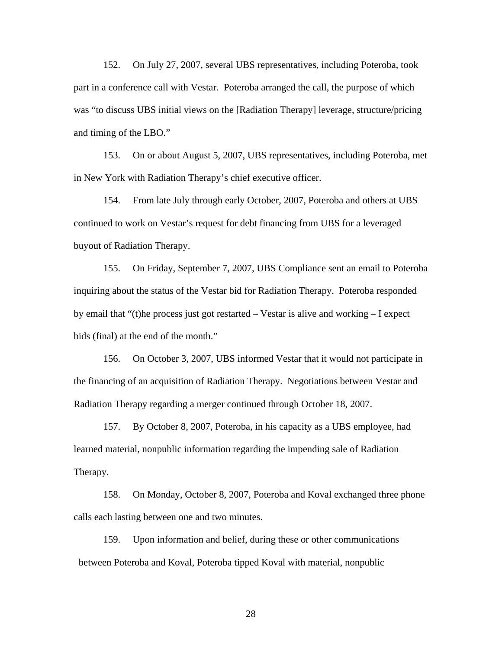152. On July 27, 2007, several UBS representatives, including Poteroba, took part in a conference call with Vestar. Poteroba arranged the call, the purpose of which was "to discuss UBS initial views on the [Radiation Therapy] leverage, structure/pricing and timing of the LBO."

153. On or about August 5, 2007, UBS representatives, including Poteroba, met in New York with Radiation Therapy's chief executive officer.

154. From late July through early October, 2007, Poteroba and others at UBS continued to work on Vestar's request for debt financing from UBS for a leveraged buyout of Radiation Therapy.

155. On Friday, September 7, 2007, UBS Compliance sent an email to Poteroba inquiring about the status of the Vestar bid for Radiation Therapy. Poteroba responded by email that "(t)he process just got restarted – Vestar is alive and working – I expect bids (final) at the end of the month."

156. On October 3, 2007, UBS informed Vestar that it would not participate in the financing of an acquisition of Radiation Therapy. Negotiations between Vestar and Radiation Therapy regarding a merger continued through October 18, 2007.

157. By October 8, 2007, Poteroba, in his capacity as a UBS employee, had learned material, nonpublic information regarding the impending sale of Radiation Therapy.

158. On Monday, October 8, 2007, Poteroba and Koval exchanged three phone calls each lasting between one and two minutes.

159. Upon information and belief, during these or other communications between Poteroba and Koval, Poteroba tipped Koval with material, nonpublic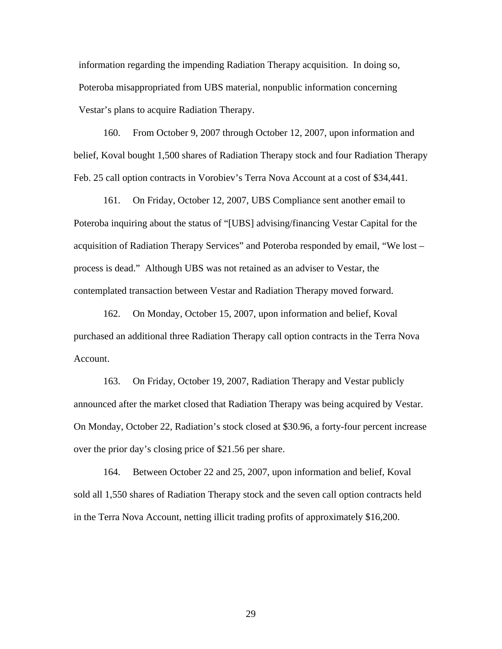information regarding the impending Radiation Therapy acquisition. In doing so, Poteroba misappropriated from UBS material, nonpublic information concerning Vestar's plans to acquire Radiation Therapy.

160. From October 9, 2007 through October 12, 2007, upon information and belief, Koval bought 1,500 shares of Radiation Therapy stock and four Radiation Therapy Feb. 25 call option contracts in Vorobiev's Terra Nova Account at a cost of \$34,441.

161. On Friday, October 12, 2007, UBS Compliance sent another email to Poteroba inquiring about the status of "[UBS] advising/financing Vestar Capital for the acquisition of Radiation Therapy Services" and Poteroba responded by email, "We lost – process is dead." Although UBS was not retained as an adviser to Vestar, the contemplated transaction between Vestar and Radiation Therapy moved forward.

162. On Monday, October 15, 2007, upon information and belief, Koval purchased an additional three Radiation Therapy call option contracts in the Terra Nova Account.

163. On Friday, October 19, 2007, Radiation Therapy and Vestar publicly announced after the market closed that Radiation Therapy was being acquired by Vestar. On Monday, October 22, Radiation's stock closed at \$30.96, a forty-four percent increase over the prior day's closing price of \$21.56 per share.

164. Between October 22 and 25, 2007, upon information and belief, Koval sold all 1,550 shares of Radiation Therapy stock and the seven call option contracts held in the Terra Nova Account, netting illicit trading profits of approximately \$16,200.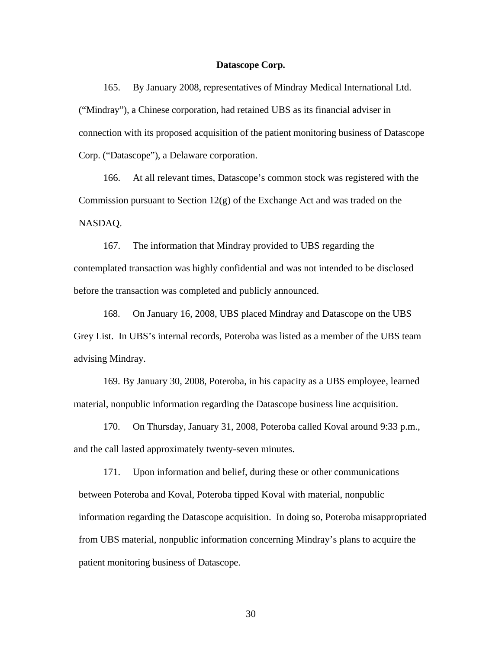#### **Datascope Corp.**

 ("Mindray"), a Chinese corporation, had retained UBS as its financial adviser in 165. By January 2008, representatives of Mindray Medical International Ltd. connection with its proposed acquisition of the patient monitoring business of Datascope Corp. ("Datascope"), a Delaware corporation.

166. At all relevant times, Datascope's common stock was registered with the Commission pursuant to Section 12(g) of the Exchange Act and was traded on the NASDAQ.

167. The information that Mindray provided to UBS regarding the contemplated transaction was highly confidential and was not intended to be disclosed before the transaction was completed and publicly announced.

168. On January 16, 2008, UBS placed Mindray and Datascope on the UBS Grey List. In UBS's internal records, Poteroba was listed as a member of the UBS team advising Mindray.

169. By January 30, 2008, Poteroba, in his capacity as a UBS employee, learned material, nonpublic information regarding the Datascope business line acquisition.

170. On Thursday, January 31, 2008, Poteroba called Koval around 9:33 p.m., and the call lasted approximately twenty-seven minutes.

171. Upon information and belief, during these or other communications between Poteroba and Koval, Poteroba tipped Koval with material, nonpublic information regarding the Datascope acquisition. In doing so, Poteroba misappropriated from UBS material, nonpublic information concerning Mindray's plans to acquire the patient monitoring business of Datascope.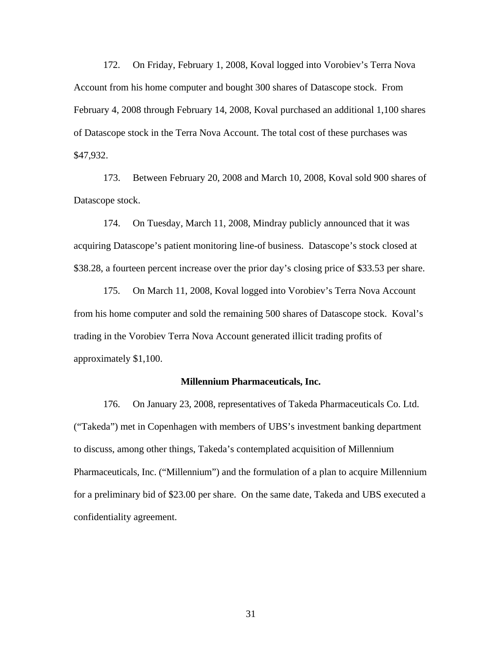172. On Friday, February 1, 2008, Koval logged into Vorobiev's Terra Nova Account from his home computer and bought 300 shares of Datascope stock. From February 4, 2008 through February 14, 2008, Koval purchased an additional 1,100 shares of Datascope stock in the Terra Nova Account. The total cost of these purchases was \$47,932.

173. Between February 20, 2008 and March 10, 2008, Koval sold 900 shares of Datascope stock.

174. On Tuesday, March 11, 2008, Mindray publicly announced that it was acquiring Datascope's patient monitoring line-of business. Datascope's stock closed at \$38.28, a fourteen percent increase over the prior day's closing price of \$33.53 per share.

175. On March 11, 2008, Koval logged into Vorobiev's Terra Nova Account from his home computer and sold the remaining 500 shares of Datascope stock. Koval's trading in the Vorobiev Terra Nova Account generated illicit trading profits of approximately \$1,100.

#### **Millennium Pharmaceuticals, Inc.**

176. On January 23, 2008, representatives of Takeda Pharmaceuticals Co. Ltd. ("Takeda") met in Copenhagen with members of UBS's investment banking department to discuss, among other things, Takeda's contemplated acquisition of Millennium Pharmaceuticals, Inc. ("Millennium") and the formulation of a plan to acquire Millennium for a preliminary bid of \$23.00 per share. On the same date, Takeda and UBS executed a confidentiality agreement.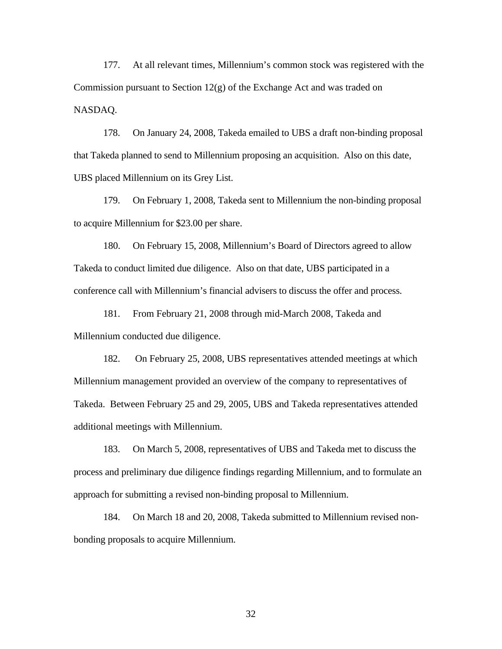177. At all relevant times, Millennium's common stock was registered with the Commission pursuant to Section 12(g) of the Exchange Act and was traded on NASDAQ.

178. On January 24, 2008, Takeda emailed to UBS a draft non-binding proposal that Takeda planned to send to Millennium proposing an acquisition. Also on this date, UBS placed Millennium on its Grey List.

179. On February 1, 2008, Takeda sent to Millennium the non-binding proposal to acquire Millennium for \$23.00 per share.

180. On February 15, 2008, Millennium's Board of Directors agreed to allow Takeda to conduct limited due diligence. Also on that date, UBS participated in a conference call with Millennium's financial advisers to discuss the offer and process.

181. From February 21, 2008 through mid-March 2008, Takeda and Millennium conducted due diligence.

182. On February 25, 2008, UBS representatives attended meetings at which Millennium management provided an overview of the company to representatives of Takeda. Between February 25 and 29, 2005, UBS and Takeda representatives attended additional meetings with Millennium.

183. On March 5, 2008, representatives of UBS and Takeda met to discuss the process and preliminary due diligence findings regarding Millennium, and to formulate an approach for submitting a revised non-binding proposal to Millennium.

184. On March 18 and 20, 2008, Takeda submitted to Millennium revised nonbonding proposals to acquire Millennium.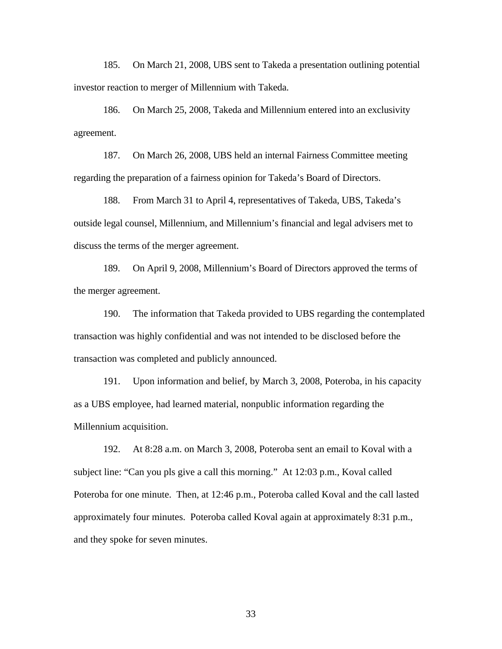185. On March 21, 2008, UBS sent to Takeda a presentation outlining potential investor reaction to merger of Millennium with Takeda.

186. On March 25, 2008, Takeda and Millennium entered into an exclusivity agreement.

187. On March 26, 2008, UBS held an internal Fairness Committee meeting regarding the preparation of a fairness opinion for Takeda's Board of Directors.

188. From March 31 to April 4, representatives of Takeda, UBS, Takeda's outside legal counsel, Millennium, and Millennium's financial and legal advisers met to discuss the terms of the merger agreement.

189. On April 9, 2008, Millennium's Board of Directors approved the terms of the merger agreement.

190. The information that Takeda provided to UBS regarding the contemplated transaction was highly confidential and was not intended to be disclosed before the transaction was completed and publicly announced.

191. Upon information and belief, by March 3, 2008, Poteroba, in his capacity as a UBS employee, had learned material, nonpublic information regarding the Millennium acquisition.

192. At 8:28 a.m. on March 3, 2008, Poteroba sent an email to Koval with a subject line: "Can you pls give a call this morning." At 12:03 p.m., Koval called Poteroba for one minute. Then, at 12:46 p.m., Poteroba called Koval and the call lasted approximately four minutes. Poteroba called Koval again at approximately 8:31 p.m., and they spoke for seven minutes.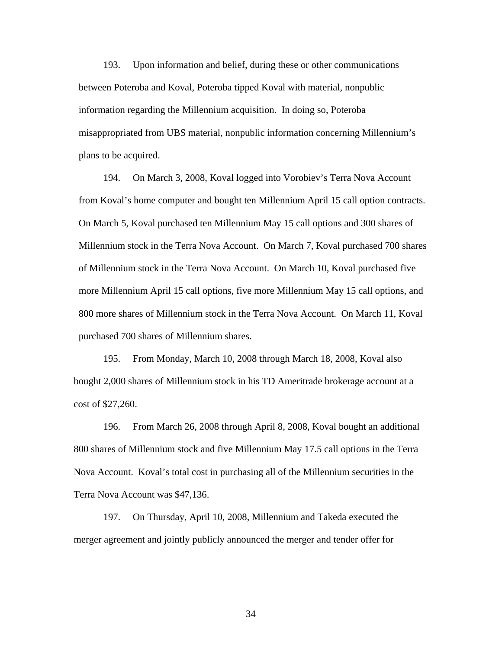193. Upon information and belief, during these or other communications between Poteroba and Koval, Poteroba tipped Koval with material, nonpublic information regarding the Millennium acquisition. In doing so, Poteroba misappropriated from UBS material, nonpublic information concerning Millennium's plans to be acquired.

194. On March 3, 2008, Koval logged into Vorobiev's Terra Nova Account from Koval's home computer and bought ten Millennium April 15 call option contracts. On March 5, Koval purchased ten Millennium May 15 call options and 300 shares of Millennium stock in the Terra Nova Account. On March 7, Koval purchased 700 shares of Millennium stock in the Terra Nova Account. On March 10, Koval purchased five more Millennium April 15 call options, five more Millennium May 15 call options, and 800 more shares of Millennium stock in the Terra Nova Account. On March 11, Koval purchased 700 shares of Millennium shares.

195. From Monday, March 10, 2008 through March 18, 2008, Koval also bought 2,000 shares of Millennium stock in his TD Ameritrade brokerage account at a cost of \$27,260.

196. From March 26, 2008 through April 8, 2008, Koval bought an additional 800 shares of Millennium stock and five Millennium May 17.5 call options in the Terra Nova Account. Koval's total cost in purchasing all of the Millennium securities in the Terra Nova Account was \$47,136.

197. On Thursday, April 10, 2008, Millennium and Takeda executed the merger agreement and jointly publicly announced the merger and tender offer for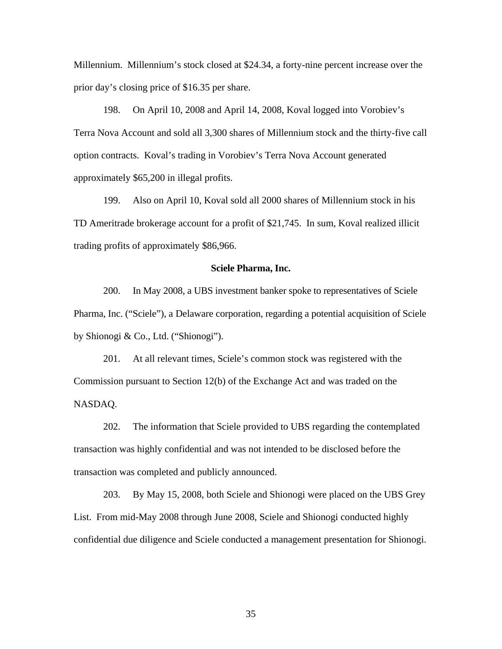Millennium. Millennium's stock closed at \$24.34, a forty-nine percent increase over the prior day's closing price of \$16.35 per share.

198. On April 10, 2008 and April 14, 2008, Koval logged into Vorobiev's Terra Nova Account and sold all 3,300 shares of Millennium stock and the thirty-five call option contracts. Koval's trading in Vorobiev's Terra Nova Account generated approximately \$65,200 in illegal profits.

199. Also on April 10, Koval sold all 2000 shares of Millennium stock in his TD Ameritrade brokerage account for a profit of \$21,745. In sum, Koval realized illicit trading profits of approximately \$86,966.

## **Sciele Pharma, Inc.**

by Shionogi & Co., Ltd. ("Shionogi"). 200. In May 2008, a UBS investment banker spoke to representatives of Sciele Pharma, Inc. ("Sciele"), a Delaware corporation, regarding a potential acquisition of Sciele

201. At all relevant times, Sciele's common stock was registered with the Commission pursuant to Section 12(b) of the Exchange Act and was traded on the NASDAQ.

202. The information that Sciele provided to UBS regarding the contemplated transaction was highly confidential and was not intended to be disclosed before the transaction was completed and publicly announced.

203. By May 15, 2008, both Sciele and Shionogi were placed on the UBS Grey List. From mid-May 2008 through June 2008, Sciele and Shionogi conducted highly confidential due diligence and Sciele conducted a management presentation for Shionogi.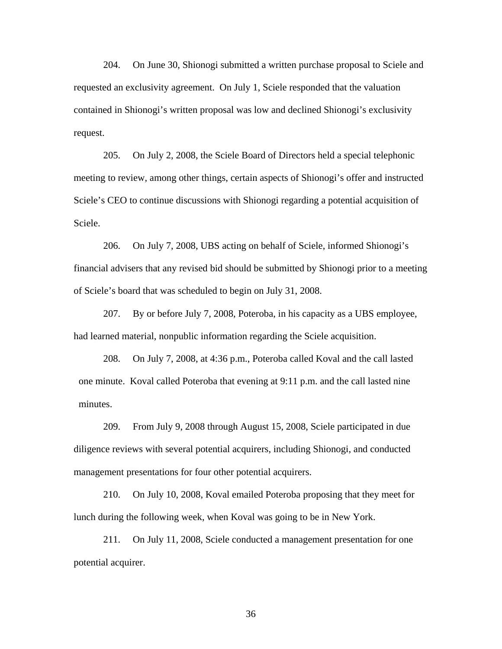204. On June 30, Shionogi submitted a written purchase proposal to Sciele and requested an exclusivity agreement. On July 1, Sciele responded that the valuation contained in Shionogi's written proposal was low and declined Shionogi's exclusivity request.

205. On July 2, 2008, the Sciele Board of Directors held a special telephonic meeting to review, among other things, certain aspects of Shionogi's offer and instructed Sciele's CEO to continue discussions with Shionogi regarding a potential acquisition of Sciele.

206. On July 7, 2008, UBS acting on behalf of Sciele, informed Shionogi's financial advisers that any revised bid should be submitted by Shionogi prior to a meeting of Sciele's board that was scheduled to begin on July 31, 2008.

207. By or before July 7, 2008, Poteroba, in his capacity as a UBS employee, had learned material, nonpublic information regarding the Sciele acquisition.

208. On July 7, 2008, at 4:36 p.m., Poteroba called Koval and the call lasted one minute. Koval called Poteroba that evening at 9:11 p.m. and the call lasted nine minutes.

209. From July 9, 2008 through August 15, 2008, Sciele participated in due diligence reviews with several potential acquirers, including Shionogi, and conducted management presentations for four other potential acquirers.

210. On July 10, 2008, Koval emailed Poteroba proposing that they meet for lunch during the following week, when Koval was going to be in New York.

211. On July 11, 2008, Sciele conducted a management presentation for one potential acquirer.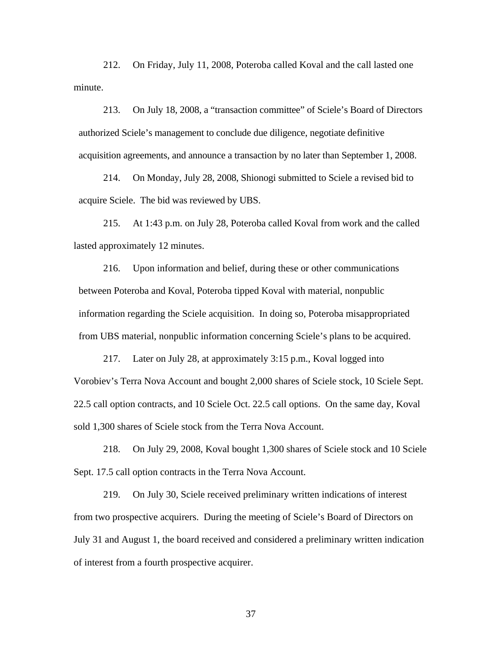212. On Friday, July 11, 2008, Poteroba called Koval and the call lasted one minute.

213. On July 18, 2008, a "transaction committee" of Sciele's Board of Directors authorized Sciele's management to conclude due diligence, negotiate definitive acquisition agreements, and announce a transaction by no later than September 1, 2008.

214. On Monday, July 28, 2008, Shionogi submitted to Sciele a revised bid to acquire Sciele. The bid was reviewed by UBS.

215. At 1:43 p.m. on July 28, Poteroba called Koval from work and the called lasted approximately 12 minutes.

216. Upon information and belief, during these or other communications between Poteroba and Koval, Poteroba tipped Koval with material, nonpublic information regarding the Sciele acquisition. In doing so, Poteroba misappropriated from UBS material, nonpublic information concerning Sciele's plans to be acquired.

217. Later on July 28, at approximately 3:15 p.m., Koval logged into Vorobiev's Terra Nova Account and bought 2,000 shares of Sciele stock, 10 Sciele Sept. 22.5 call option contracts, and 10 Sciele Oct. 22.5 call options. On the same day, Koval sold 1,300 shares of Sciele stock from the Terra Nova Account.

218. On July 29, 2008, Koval bought 1,300 shares of Sciele stock and 10 Sciele Sept. 17.5 call option contracts in the Terra Nova Account.

219. On July 30, Sciele received preliminary written indications of interest from two prospective acquirers. During the meeting of Sciele's Board of Directors on July 31 and August 1, the board received and considered a preliminary written indication of interest from a fourth prospective acquirer.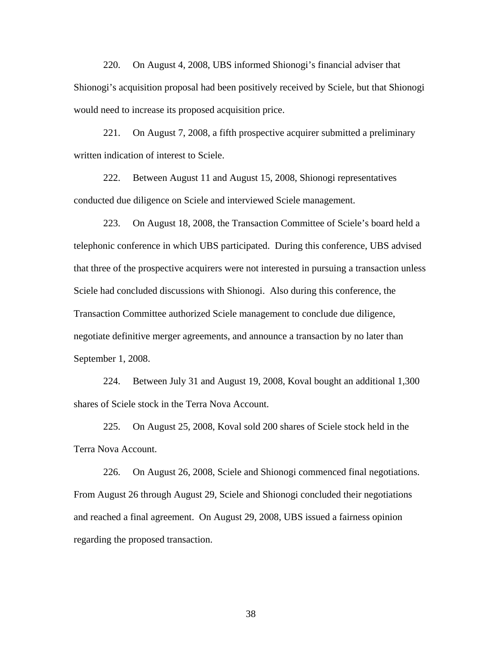220. On August 4, 2008, UBS informed Shionogi's financial adviser that Shionogi's acquisition proposal had been positively received by Sciele, but that Shionogi would need to increase its proposed acquisition price.

221. On August 7, 2008, a fifth prospective acquirer submitted a preliminary written indication of interest to Sciele.

222. Between August 11 and August 15, 2008, Shionogi representatives conducted due diligence on Sciele and interviewed Sciele management.

223. On August 18, 2008, the Transaction Committee of Sciele's board held a telephonic conference in which UBS participated. During this conference, UBS advised that three of the prospective acquirers were not interested in pursuing a transaction unless Sciele had concluded discussions with Shionogi. Also during this conference, the Transaction Committee authorized Sciele management to conclude due diligence, negotiate definitive merger agreements, and announce a transaction by no later than September 1, 2008.

224. Between July 31 and August 19, 2008, Koval bought an additional 1,300 shares of Sciele stock in the Terra Nova Account.

225. On August 25, 2008, Koval sold 200 shares of Sciele stock held in the Terra Nova Account.

226. On August 26, 2008, Sciele and Shionogi commenced final negotiations. From August 26 through August 29, Sciele and Shionogi concluded their negotiations and reached a final agreement. On August 29, 2008, UBS issued a fairness opinion regarding the proposed transaction.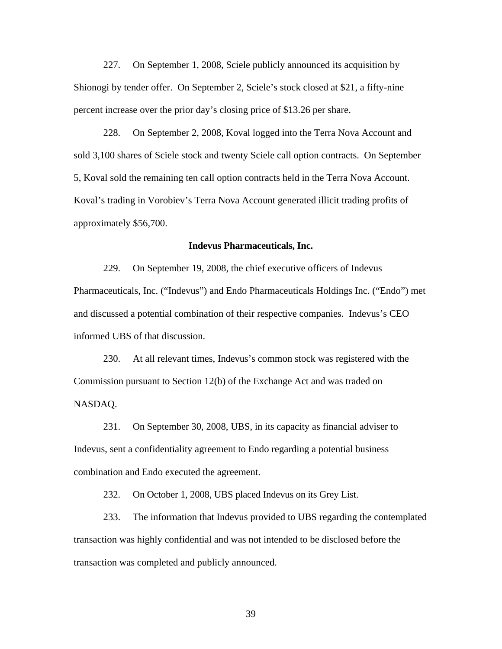227. On September 1, 2008, Sciele publicly announced its acquisition by Shionogi by tender offer. On September 2, Sciele's stock closed at \$21, a fifty-nine percent increase over the prior day's closing price of \$13.26 per share.

228. On September 2, 2008, Koval logged into the Terra Nova Account and sold 3,100 shares of Sciele stock and twenty Sciele call option contracts. On September 5, Koval sold the remaining ten call option contracts held in the Terra Nova Account. Koval's trading in Vorobiev's Terra Nova Account generated illicit trading profits of approximately \$56,700.

## **Indevus Pharmaceuticals, Inc.**

229. On September 19, 2008, the chief executive officers of Indevus Pharmaceuticals, Inc. ("Indevus") and Endo Pharmaceuticals Holdings Inc. ("Endo") met and discussed a potential combination of their respective companies. Indevus's CEO informed UBS of that discussion.

230. At all relevant times, Indevus's common stock was registered with the Commission pursuant to Section 12(b) of the Exchange Act and was traded on NASDAQ.

231. On September 30, 2008, UBS, in its capacity as financial adviser to Indevus, sent a confidentiality agreement to Endo regarding a potential business combination and Endo executed the agreement.

232. On October 1, 2008, UBS placed Indevus on its Grey List.

233. The information that Indevus provided to UBS regarding the contemplated transaction was highly confidential and was not intended to be disclosed before the transaction was completed and publicly announced.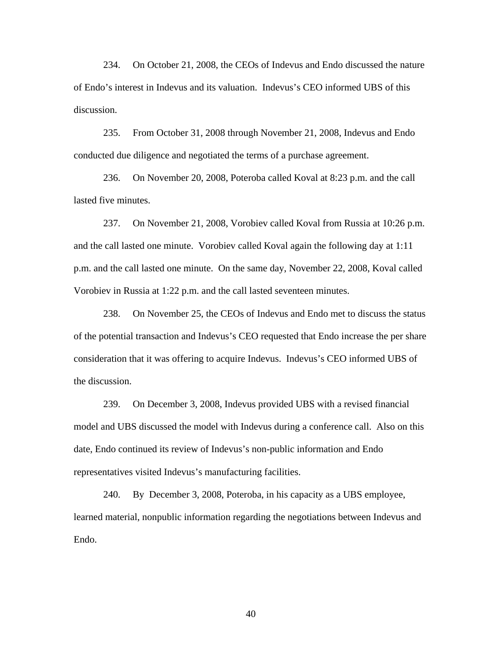234. On October 21, 2008, the CEOs of Indevus and Endo discussed the nature of Endo's interest in Indevus and its valuation. Indevus's CEO informed UBS of this discussion.

235. From October 31, 2008 through November 21, 2008, Indevus and Endo conducted due diligence and negotiated the terms of a purchase agreement.

236. On November 20, 2008, Poteroba called Koval at 8:23 p.m. and the call lasted five minutes.

237. On November 21, 2008, Vorobiev called Koval from Russia at 10:26 p.m. and the call lasted one minute. Vorobiev called Koval again the following day at 1:11 p.m. and the call lasted one minute. On the same day, November 22, 2008, Koval called Vorobiev in Russia at 1:22 p.m. and the call lasted seventeen minutes.

238. On November 25, the CEOs of Indevus and Endo met to discuss the status of the potential transaction and Indevus's CEO requested that Endo increase the per share consideration that it was offering to acquire Indevus. Indevus's CEO informed UBS of the discussion.

239. On December 3, 2008, Indevus provided UBS with a revised financial model and UBS discussed the model with Indevus during a conference call. Also on this date, Endo continued its review of Indevus's non-public information and Endo representatives visited Indevus's manufacturing facilities.

240. By December 3, 2008, Poteroba, in his capacity as a UBS employee, learned material, nonpublic information regarding the negotiations between Indevus and Endo.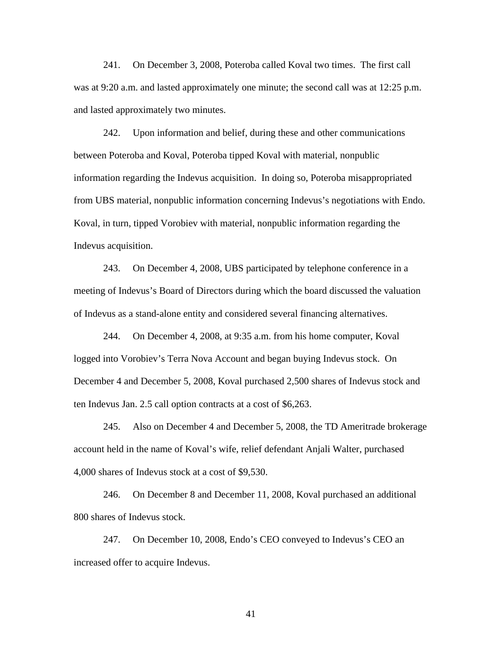241. On December 3, 2008, Poteroba called Koval two times. The first call was at 9:20 a.m. and lasted approximately one minute; the second call was at 12:25 p.m. and lasted approximately two minutes.

 from UBS material, nonpublic information concerning Indevus's negotiations with Endo. Koval, in turn, tipped Vorobiev with material, nonpublic information regarding the 242. Upon information and belief, during these and other communications between Poteroba and Koval, Poteroba tipped Koval with material, nonpublic information regarding the Indevus acquisition. In doing so, Poteroba misappropriated Indevus acquisition.

243. On December 4, 2008, UBS participated by telephone conference in a meeting of Indevus's Board of Directors during which the board discussed the valuation of Indevus as a stand-alone entity and considered several financing alternatives.

244. On December 4, 2008, at 9:35 a.m. from his home computer, Koval logged into Vorobiev's Terra Nova Account and began buying Indevus stock. On December 4 and December 5, 2008, Koval purchased 2,500 shares of Indevus stock and ten Indevus Jan. 2.5 call option contracts at a cost of \$6,263.

245. Also on December 4 and December 5, 2008, the TD Ameritrade brokerage account held in the name of Koval's wife, relief defendant Anjali Walter, purchased 4,000 shares of Indevus stock at a cost of \$9,530.

246. On December 8 and December 11, 2008, Koval purchased an additional 800 shares of Indevus stock.

247. On December 10, 2008, Endo's CEO conveyed to Indevus's CEO an increased offer to acquire Indevus.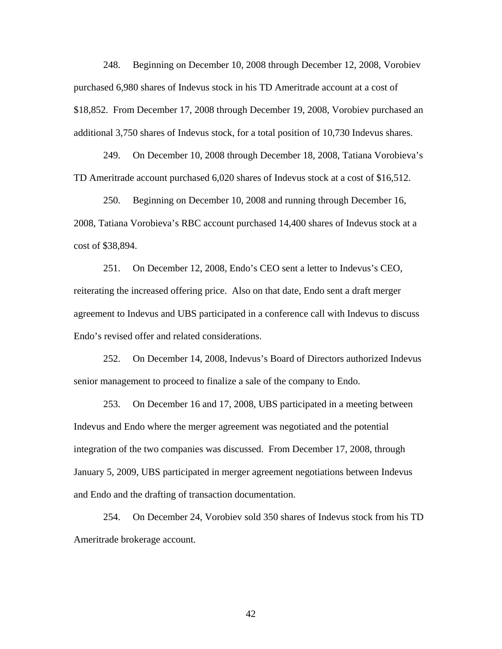248. Beginning on December 10, 2008 through December 12, 2008, Vorobiev purchased 6,980 shares of Indevus stock in his TD Ameritrade account at a cost of \$18,852. From December 17, 2008 through December 19, 2008, Vorobiev purchased an additional 3,750 shares of Indevus stock, for a total position of 10,730 Indevus shares.

249. On December 10, 2008 through December 18, 2008, Tatiana Vorobieva's TD Ameritrade account purchased 6,020 shares of Indevus stock at a cost of \$16,512.

250. Beginning on December 10, 2008 and running through December 16, 2008, Tatiana Vorobieva's RBC account purchased 14,400 shares of Indevus stock at a cost of \$38,894.

251. On December 12, 2008, Endo's CEO sent a letter to Indevus's CEO, reiterating the increased offering price. Also on that date, Endo sent a draft merger agreement to Indevus and UBS participated in a conference call with Indevus to discuss Endo's revised offer and related considerations.

senior management to proceed to finalize a sale of the company to Endo. 252. On December 14, 2008, Indevus's Board of Directors authorized Indevus

253. On December 16 and 17, 2008, UBS participated in a meeting between Indevus and Endo where the merger agreement was negotiated and the potential integration of the two companies was discussed. From December 17, 2008, through January 5, 2009, UBS participated in merger agreement negotiations between Indevus and Endo and the drafting of transaction documentation.

254. On December 24, Vorobiev sold 350 shares of Indevus stock from his TD Ameritrade brokerage account.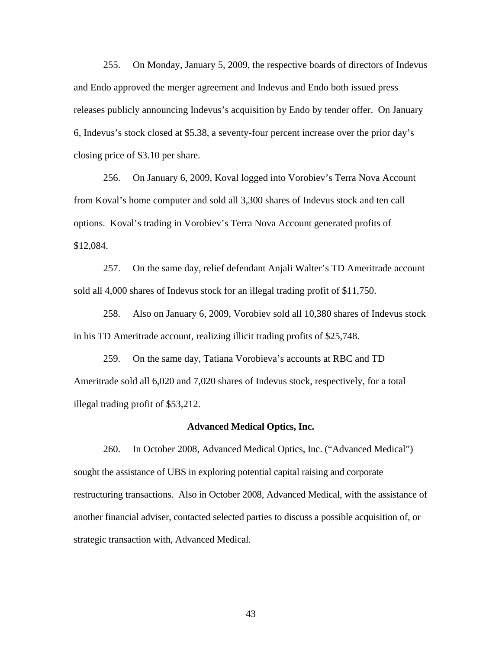255. On Monday, January 5, 2009, the respective boards of directors of Indevus and Endo approved the merger agreement and Indevus and Endo both issued press releases publicly announcing Indevus's acquisition by Endo by tender offer. On January 6, Indevus's stock closed at \$5.38, a seventy-four percent increase over the prior day's closing price of \$3.10 per share.

256. On January 6, 2009, Koval logged into Vorobiev's Terra Nova Account from Koval's home computer and sold all 3,300 shares of Indevus stock and ten call options. Koval's trading in Vorobiev's Terra Nova Account generated profits of \$12,084.

257. On the same day, relief defendant Anjali Walter's TD Ameritrade account sold all 4,000 shares of Indevus stock for an illegal trading profit of \$11,750.

258. Also on January 6, 2009, Vorobiev sold all 10,380 shares of Indevus stock in his TD Ameritrade account, realizing illicit trading profits of \$25,748.

259. On the same day, Tatiana Vorobieva's accounts at RBC and TD Ameritrade sold all 6,020 and 7,020 shares of Indevus stock, respectively, for a total illegal trading profit of \$53,212.

### **Advanced Medical Optics, Inc.**

 260. In October 2008, Advanced Medical Optics, Inc. ("Advanced Medical") sought the assistance of UBS in exploring potential capital raising and corporate restructuring transactions. Also in October 2008, Advanced Medical, with the assistance of another financial adviser, contacted selected parties to discuss a possible acquisition of, or strategic transaction with, Advanced Medical.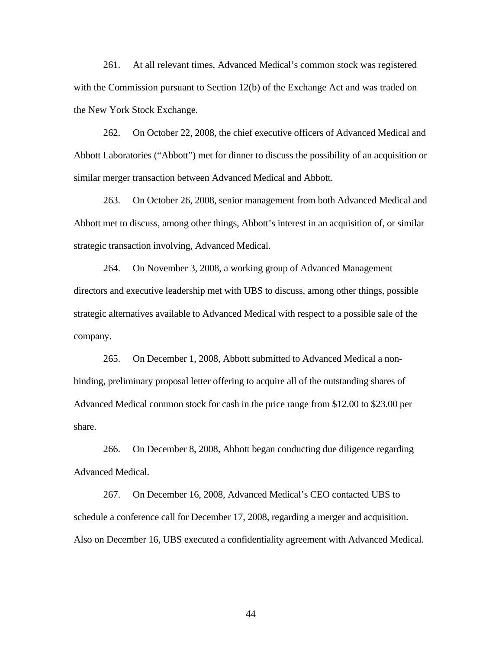261. At all relevant times, Advanced Medical's common stock was registered with the Commission pursuant to Section 12(b) of the Exchange Act and was traded on the New York Stock Exchange.

262. On October 22, 2008, the chief executive officers of Advanced Medical and Abbott Laboratories ("Abbott") met for dinner to discuss the possibility of an acquisition or similar merger transaction between Advanced Medical and Abbott.

263. On October 26, 2008, senior management from both Advanced Medical and Abbott met to discuss, among other things, Abbott's interest in an acquisition of, or similar strategic transaction involving, Advanced Medical.

264. On November 3, 2008, a working group of Advanced Management directors and executive leadership met with UBS to discuss, among other things, possible strategic alternatives available to Advanced Medical with respect to a possible sale of the company.

265. On December 1, 2008, Abbott submitted to Advanced Medical a nonbinding, preliminary proposal letter offering to acquire all of the outstanding shares of Advanced Medical common stock for cash in the price range from \$12.00 to \$23.00 per share.

266. On December 8, 2008, Abbott began conducting due diligence regarding Advanced Medical.

267. On December 16, 2008, Advanced Medical's CEO contacted UBS to schedule a conference call for December 17, 2008, regarding a merger and acquisition. Also on December 16, UBS executed a confidentiality agreement with Advanced Medical.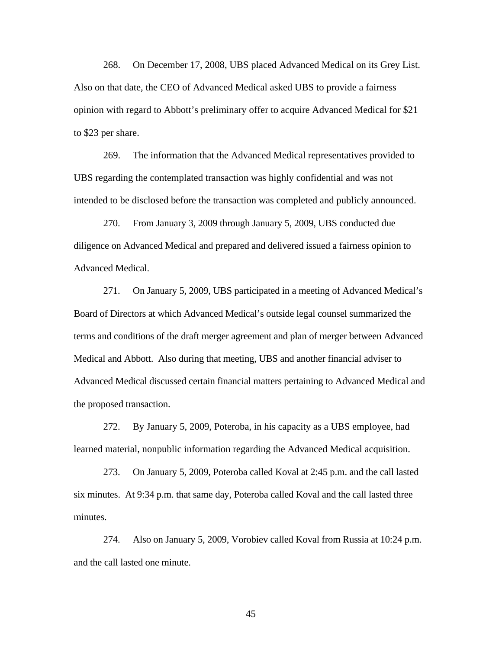268. On December 17, 2008, UBS placed Advanced Medical on its Grey List. Also on that date, the CEO of Advanced Medical asked UBS to provide a fairness opinion with regard to Abbott's preliminary offer to acquire Advanced Medical for \$21 to \$23 per share.

269. The information that the Advanced Medical representatives provided to UBS regarding the contemplated transaction was highly confidential and was not intended to be disclosed before the transaction was completed and publicly announced.

270. From January 3, 2009 through January 5, 2009, UBS conducted due diligence on Advanced Medical and prepared and delivered issued a fairness opinion to Advanced Medical.

271. On January 5, 2009, UBS participated in a meeting of Advanced Medical's Board of Directors at which Advanced Medical's outside legal counsel summarized the terms and conditions of the draft merger agreement and plan of merger between Advanced Medical and Abbott. Also during that meeting, UBS and another financial adviser to Advanced Medical discussed certain financial matters pertaining to Advanced Medical and the proposed transaction.

272. By January 5, 2009, Poteroba, in his capacity as a UBS employee, had learned material, nonpublic information regarding the Advanced Medical acquisition.

273. On January 5, 2009, Poteroba called Koval at 2:45 p.m. and the call lasted six minutes. At 9:34 p.m. that same day, Poteroba called Koval and the call lasted three minutes.

274. Also on January 5, 2009, Vorobiev called Koval from Russia at 10:24 p.m. and the call lasted one minute.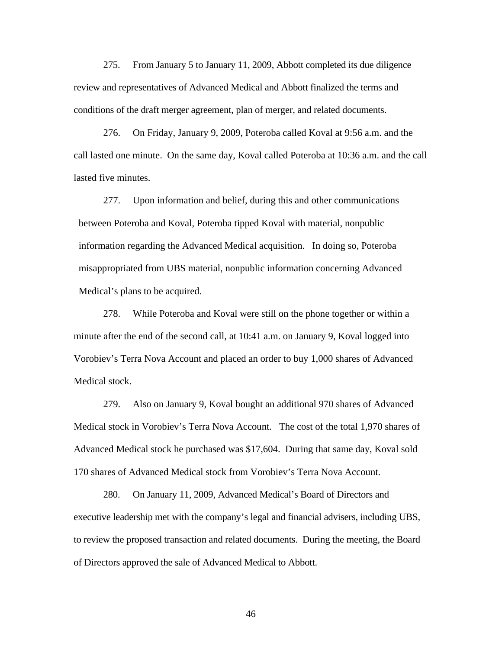275. From January 5 to January 11, 2009, Abbott completed its due diligence review and representatives of Advanced Medical and Abbott finalized the terms and conditions of the draft merger agreement, plan of merger, and related documents.

276. On Friday, January 9, 2009, Poteroba called Koval at 9:56 a.m. and the call lasted one minute. On the same day, Koval called Poteroba at 10:36 a.m. and the call lasted five minutes.

277. Upon information and belief, during this and other communications between Poteroba and Koval, Poteroba tipped Koval with material, nonpublic information regarding the Advanced Medical acquisition. In doing so, Poteroba misappropriated from UBS material, nonpublic information concerning Advanced Medical's plans to be acquired.

278. While Poteroba and Koval were still on the phone together or within a minute after the end of the second call, at 10:41 a.m. on January 9, Koval logged into Vorobiev's Terra Nova Account and placed an order to buy 1,000 shares of Advanced Medical stock.

279. Also on January 9, Koval bought an additional 970 shares of Advanced Medical stock in Vorobiev's Terra Nova Account. The cost of the total 1,970 shares of Advanced Medical stock he purchased was \$17,604. During that same day, Koval sold 170 shares of Advanced Medical stock from Vorobiev's Terra Nova Account.

280. On January 11, 2009, Advanced Medical's Board of Directors and executive leadership met with the company's legal and financial advisers, including UBS, to review the proposed transaction and related documents. During the meeting, the Board of Directors approved the sale of Advanced Medical to Abbott.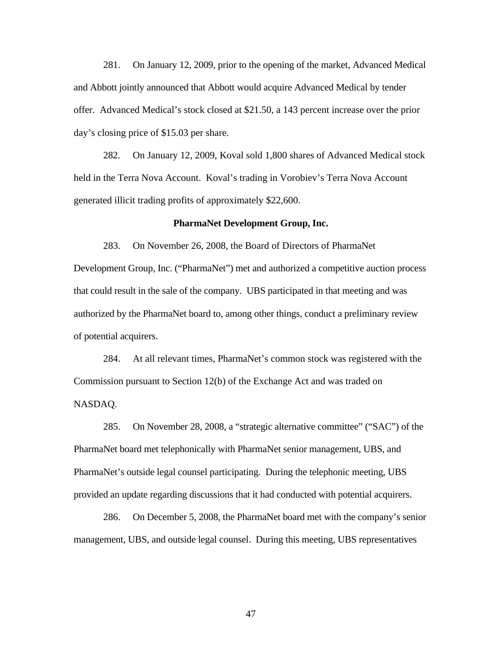281. On January 12, 2009, prior to the opening of the market, Advanced Medical and Abbott jointly announced that Abbott would acquire Advanced Medical by tender offer. Advanced Medical's stock closed at \$21.50, a 143 percent increase over the prior day's closing price of \$15.03 per share.

282. On January 12, 2009, Koval sold 1,800 shares of Advanced Medical stock held in the Terra Nova Account. Koval's trading in Vorobiev's Terra Nova Account generated illicit trading profits of approximately \$22,600.

#### **PharmaNet Development Group, Inc.**

283. On November 26, 2008, the Board of Directors of PharmaNet Development Group, Inc. ("PharmaNet") met and authorized a competitive auction process that could result in the sale of the company. UBS participated in that meeting and was authorized by the PharmaNet board to, among other things, conduct a preliminary review of potential acquirers.

284. At all relevant times, PharmaNet's common stock was registered with the Commission pursuant to Section 12(b) of the Exchange Act and was traded on NASDAQ.

285. On November 28, 2008, a "strategic alternative committee" ("SAC") of the PharmaNet board met telephonically with PharmaNet senior management, UBS, and PharmaNet's outside legal counsel participating. During the telephonic meeting, UBS provided an update regarding discussions that it had conducted with potential acquirers.

286. On December 5, 2008, the PharmaNet board met with the company's senior management, UBS, and outside legal counsel. During this meeting, UBS representatives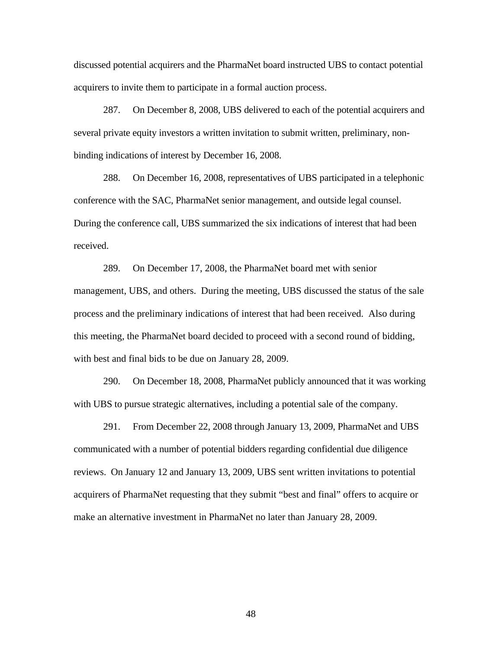discussed potential acquirers and the PharmaNet board instructed UBS to contact potential acquirers to invite them to participate in a formal auction process.

287. On December 8, 2008, UBS delivered to each of the potential acquirers and several private equity investors a written invitation to submit written, preliminary, nonbinding indications of interest by December 16, 2008.

288. On December 16, 2008, representatives of UBS participated in a telephonic conference with the SAC, PharmaNet senior management, and outside legal counsel. During the conference call, UBS summarized the six indications of interest that had been received.

289. On December 17, 2008, the PharmaNet board met with senior management, UBS, and others. During the meeting, UBS discussed the status of the sale process and the preliminary indications of interest that had been received. Also during this meeting, the PharmaNet board decided to proceed with a second round of bidding, with best and final bids to be due on January 28, 2009.

290. On December 18, 2008, PharmaNet publicly announced that it was working with UBS to pursue strategic alternatives, including a potential sale of the company.

291. From December 22, 2008 through January 13, 2009, PharmaNet and UBS communicated with a number of potential bidders regarding confidential due diligence reviews. On January 12 and January 13, 2009, UBS sent written invitations to potential acquirers of PharmaNet requesting that they submit "best and final" offers to acquire or make an alternative investment in PharmaNet no later than January 28, 2009.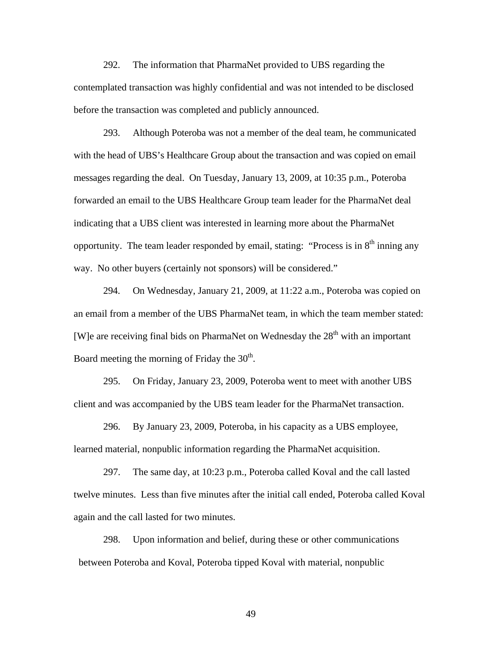292. The information that PharmaNet provided to UBS regarding the contemplated transaction was highly confidential and was not intended to be disclosed before the transaction was completed and publicly announced.

293. Although Poteroba was not a member of the deal team, he communicated with the head of UBS's Healthcare Group about the transaction and was copied on email messages regarding the deal. On Tuesday, January 13, 2009, at 10:35 p.m., Poteroba forwarded an email to the UBS Healthcare Group team leader for the PharmaNet deal indicating that a UBS client was interested in learning more about the PharmaNet opportunity. The team leader responded by email, stating: "Process is in  $8<sup>th</sup>$  inning any way. No other buyers (certainly not sponsors) will be considered."

294. On Wednesday, January 21, 2009, at 11:22 a.m., Poteroba was copied on an email from a member of the UBS PharmaNet team, in which the team member stated: [W]e are receiving final bids on PharmaNet on Wednesday the  $28<sup>th</sup>$  with an important Board meeting the morning of Friday the  $30<sup>th</sup>$ .

295. On Friday, January 23, 2009, Poteroba went to meet with another UBS client and was accompanied by the UBS team leader for the PharmaNet transaction.

296. By January 23, 2009, Poteroba, in his capacity as a UBS employee, learned material, nonpublic information regarding the PharmaNet acquisition.

297. The same day, at 10:23 p.m., Poteroba called Koval and the call lasted twelve minutes. Less than five minutes after the initial call ended, Poteroba called Koval again and the call lasted for two minutes.

298. Upon information and belief, during these or other communications between Poteroba and Koval, Poteroba tipped Koval with material, nonpublic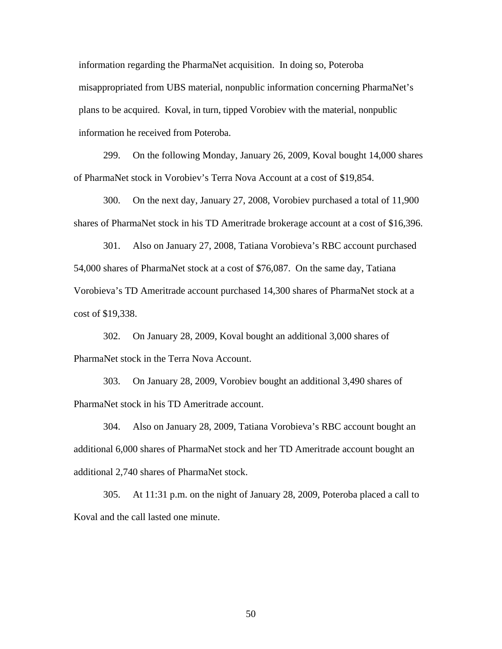plans to be acquired. Koval, in turn, tipped Vorobiev with the material, nonpublic information regarding the PharmaNet acquisition. In doing so, Poteroba misappropriated from UBS material, nonpublic information concerning PharmaNet's information he received from Poteroba.

299. On the following Monday, January 26, 2009, Koval bought 14,000 shares of PharmaNet stock in Vorobiev's Terra Nova Account at a cost of \$19,854.

300. On the next day, January 27, 2008, Vorobiev purchased a total of 11,900 shares of PharmaNet stock in his TD Ameritrade brokerage account at a cost of \$16,396.

 54,000 shares of PharmaNet stock at a cost of \$76,087. On the same day, Tatiana 301. Also on January 27, 2008, Tatiana Vorobieva's RBC account purchased Vorobieva's TD Ameritrade account purchased 14,300 shares of PharmaNet stock at a cost of \$19,338.

302. On January 28, 2009, Koval bought an additional 3,000 shares of PharmaNet stock in the Terra Nova Account.

303. On January 28, 2009, Vorobiev bought an additional 3,490 shares of PharmaNet stock in his TD Ameritrade account.

304. Also on January 28, 2009, Tatiana Vorobieva's RBC account bought an additional 6,000 shares of PharmaNet stock and her TD Ameritrade account bought an additional 2,740 shares of PharmaNet stock.

305. At 11:31 p.m. on the night of January 28, 2009, Poteroba placed a call to Koval and the call lasted one minute.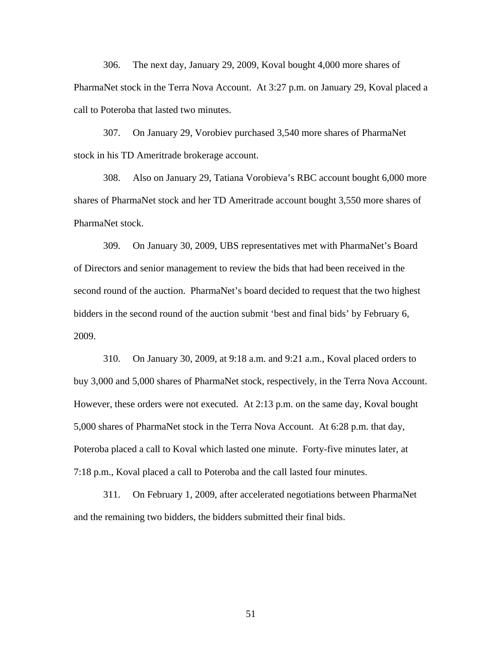306. The next day, January 29, 2009, Koval bought 4,000 more shares of PharmaNet stock in the Terra Nova Account. At 3:27 p.m. on January 29, Koval placed a call to Poteroba that lasted two minutes.

307. On January 29, Vorobiev purchased 3,540 more shares of PharmaNet stock in his TD Ameritrade brokerage account.

308. Also on January 29, Tatiana Vorobieva's RBC account bought 6,000 more shares of PharmaNet stock and her TD Ameritrade account bought 3,550 more shares of PharmaNet stock.

309. On January 30, 2009, UBS representatives met with PharmaNet's Board of Directors and senior management to review the bids that had been received in the second round of the auction. PharmaNet's board decided to request that the two highest bidders in the second round of the auction submit 'best and final bids' by February 6, 2009.

7:18 p.m., Koval placed a call to Poteroba and the call lasted four minutes. 310. On January 30, 2009, at 9:18 a.m. and 9:21 a.m., Koval placed orders to buy 3,000 and 5,000 shares of PharmaNet stock, respectively, in the Terra Nova Account. However, these orders were not executed. At 2:13 p.m. on the same day, Koval bought 5,000 shares of PharmaNet stock in the Terra Nova Account. At 6:28 p.m. that day, Poteroba placed a call to Koval which lasted one minute. Forty-five minutes later, at

311. On February 1, 2009, after accelerated negotiations between PharmaNet and the remaining two bidders, the bidders submitted their final bids.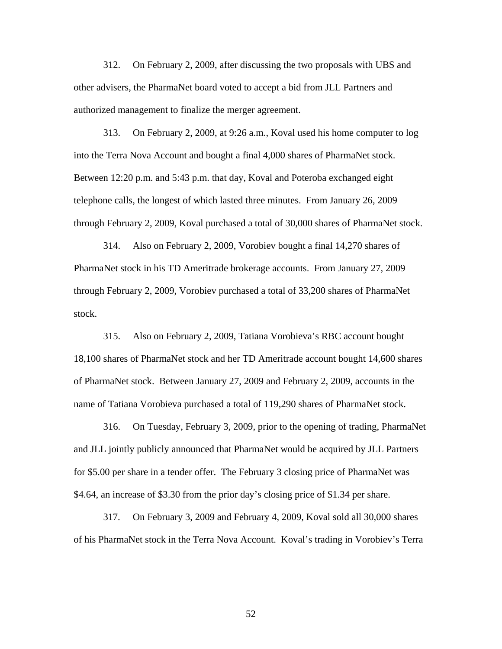312. On February 2, 2009, after discussing the two proposals with UBS and other advisers, the PharmaNet board voted to accept a bid from JLL Partners and authorized management to finalize the merger agreement.

313. On February 2, 2009, at 9:26 a.m., Koval used his home computer to log into the Terra Nova Account and bought a final 4,000 shares of PharmaNet stock. Between 12:20 p.m. and 5:43 p.m. that day, Koval and Poteroba exchanged eight telephone calls, the longest of which lasted three minutes. From January 26, 2009 through February 2, 2009, Koval purchased a total of 30,000 shares of PharmaNet stock.

314. Also on February 2, 2009, Vorobiev bought a final 14,270 shares of PharmaNet stock in his TD Ameritrade brokerage accounts. From January 27, 2009 through February 2, 2009, Vorobiev purchased a total of 33,200 shares of PharmaNet stock.

315. Also on February 2, 2009, Tatiana Vorobieva's RBC account bought 18,100 shares of PharmaNet stock and her TD Ameritrade account bought 14,600 shares of PharmaNet stock. Between January 27, 2009 and February 2, 2009, accounts in the name of Tatiana Vorobieva purchased a total of 119,290 shares of PharmaNet stock.

316. On Tuesday, February 3, 2009, prior to the opening of trading, PharmaNet and JLL jointly publicly announced that PharmaNet would be acquired by JLL Partners for \$5.00 per share in a tender offer. The February 3 closing price of PharmaNet was \$4.64, an increase of \$3.30 from the prior day's closing price of \$1.34 per share.

317. On February 3, 2009 and February 4, 2009, Koval sold all 30,000 shares of his PharmaNet stock in the Terra Nova Account. Koval's trading in Vorobiev's Terra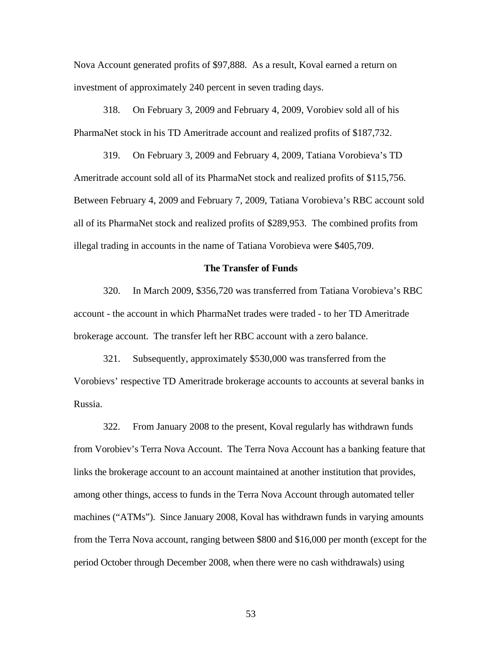Nova Account generated profits of \$97,888. As a result, Koval earned a return on investment of approximately 240 percent in seven trading days.

318. On February 3, 2009 and February 4, 2009, Vorobiev sold all of his PharmaNet stock in his TD Ameritrade account and realized profits of \$187,732.

319. On February 3, 2009 and February 4, 2009, Tatiana Vorobieva's TD Ameritrade account sold all of its PharmaNet stock and realized profits of \$115,756. Between February 4, 2009 and February 7, 2009, Tatiana Vorobieva's RBC account sold all of its PharmaNet stock and realized profits of \$289,953. The combined profits from illegal trading in accounts in the name of Tatiana Vorobieva were \$405,709.

## **The Transfer of Funds**

320. In March 2009, \$356,720 was transferred from Tatiana Vorobieva's RBC account - the account in which PharmaNet trades were traded - to her TD Ameritrade brokerage account. The transfer left her RBC account with a zero balance.

321. Subsequently, approximately \$530,000 was transferred from the Vorobievs' respective TD Ameritrade brokerage accounts to accounts at several banks in Russia.

 322. From January 2008 to the present, Koval regularly has withdrawn funds from Vorobiev's Terra Nova Account. The Terra Nova Account has a banking feature that links the brokerage account to an account maintained at another institution that provides, among other things, access to funds in the Terra Nova Account through automated teller machines ("ATMs"). Since January 2008, Koval has withdrawn funds in varying amounts from the Terra Nova account, ranging between \$800 and \$16,000 per month (except for the period October through December 2008, when there were no cash withdrawals) using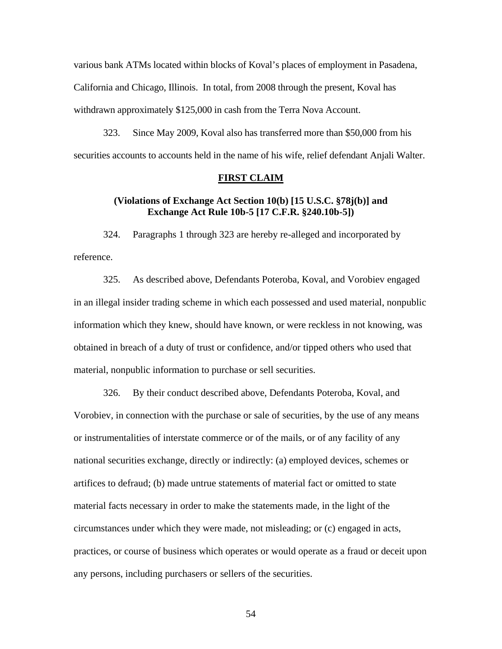various bank ATMs located within blocks of Koval's places of employment in Pasadena, California and Chicago, Illinois. In total, from 2008 through the present, Koval has withdrawn approximately \$125,000 in cash from the Terra Nova Account.

323. Since May 2009, Koval also has transferred more than \$50,000 from his securities accounts to accounts held in the name of his wife, relief defendant Anjali Walter.

## **FIRST CLAIM**

# **(Violations of Exchange Act Section 10(b) [15 U.S.C. §78j(b)] and Exchange Act Rule 10b-5 [17 C.F.R. §240.10b-5])**

324. Paragraphs 1 through 323 are hereby re-alleged and incorporated by reference.

325. As described above, Defendants Poteroba, Koval, and Vorobiev engaged in an illegal insider trading scheme in which each possessed and used material, nonpublic information which they knew, should have known, or were reckless in not knowing, was obtained in breach of a duty of trust or confidence, and/or tipped others who used that material, nonpublic information to purchase or sell securities.

326. By their conduct described above, Defendants Poteroba, Koval, and Vorobiev, in connection with the purchase or sale of securities, by the use of any means or instrumentalities of interstate commerce or of the mails, or of any facility of any national securities exchange, directly or indirectly: (a) employed devices, schemes or artifices to defraud; (b) made untrue statements of material fact or omitted to state material facts necessary in order to make the statements made, in the light of the circumstances under which they were made, not misleading; or (c) engaged in acts, practices, or course of business which operates or would operate as a fraud or deceit upon any persons, including purchasers or sellers of the securities.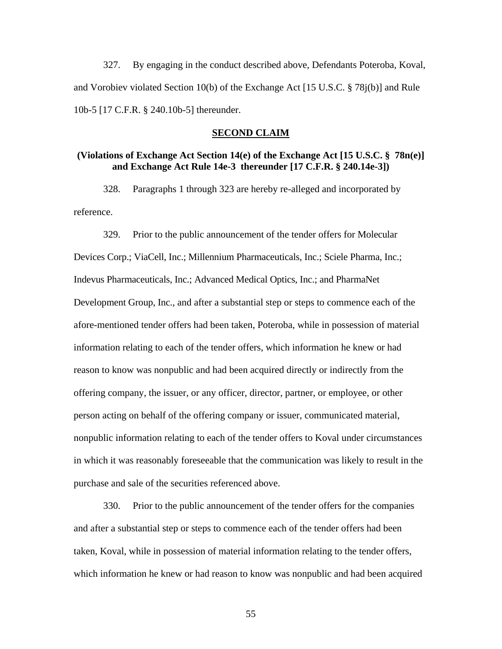327. By engaging in the conduct described above, Defendants Poteroba, Koval, and Vorobiev violated Section 10(b) of the Exchange Act [15 U.S.C. § 78j(b)] and Rule 10b-5 [17 C.F.R. § 240.10b-5] thereunder.

#### **SECOND CLAIM**

# **(Violations of Exchange Act Section 14(e) of the Exchange Act [15 U.S.C. § 78n(e)] and Exchange Act Rule 14e-3 thereunder [17 C.F.R. § 240.14e-3])**

328. Paragraphs 1 through 323 are hereby re-alleged and incorporated by reference.

 Development Group, Inc., and after a substantial step or steps to commence each of the 329. Prior to the public announcement of the tender offers for Molecular Devices Corp.; ViaCell, Inc.; Millennium Pharmaceuticals, Inc.; Sciele Pharma, Inc.; Indevus Pharmaceuticals, Inc.; Advanced Medical Optics, Inc.; and PharmaNet afore-mentioned tender offers had been taken, Poteroba, while in possession of material information relating to each of the tender offers, which information he knew or had reason to know was nonpublic and had been acquired directly or indirectly from the offering company, the issuer, or any officer, director, partner, or employee, or other person acting on behalf of the offering company or issuer, communicated material, nonpublic information relating to each of the tender offers to Koval under circumstances in which it was reasonably foreseeable that the communication was likely to result in the purchase and sale of the securities referenced above.

330. Prior to the public announcement of the tender offers for the companies and after a substantial step or steps to commence each of the tender offers had been taken, Koval, while in possession of material information relating to the tender offers, which information he knew or had reason to know was nonpublic and had been acquired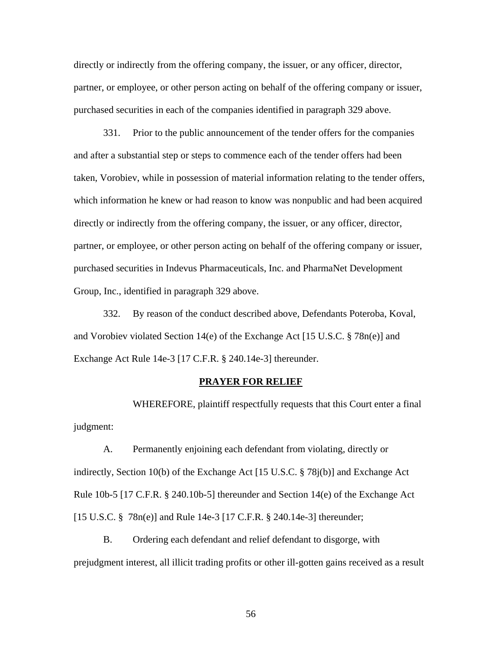directly or indirectly from the offering company, the issuer, or any officer, director, partner, or employee, or other person acting on behalf of the offering company or issuer, purchased securities in each of the companies identified in paragraph 329 above.

331. Prior to the public announcement of the tender offers for the companies and after a substantial step or steps to commence each of the tender offers had been taken, Vorobiev, while in possession of material information relating to the tender offers, which information he knew or had reason to know was nonpublic and had been acquired directly or indirectly from the offering company, the issuer, or any officer, director, partner, or employee, or other person acting on behalf of the offering company or issuer, purchased securities in Indevus Pharmaceuticals, Inc. and PharmaNet Development Group, Inc., identified in paragraph 329 above.

332. By reason of the conduct described above, Defendants Poteroba, Koval, and Vorobiev violated Section 14(e) of the Exchange Act [15 U.S.C. § 78n(e)] and Exchange Act Rule 14e-3 [17 C.F.R. § 240.14e-3] thereunder.

## **PRAYER FOR RELIEF**

WHEREFORE, plaintiff respectfully requests that this Court enter a final judgment:

A. Permanently enjoining each defendant from violating, directly or indirectly, Section 10(b) of the Exchange Act [15 U.S.C. § 78j(b)] and Exchange Act Rule 10b-5 [17 C.F.R. § 240.10b-5] thereunder and Section 14(e) of the Exchange Act [15 U.S.C. § 78n(e)] and Rule 14e-3 [17 C.F.R. § 240.14e-3] thereunder;

B. Ordering each defendant and relief defendant to disgorge, with prejudgment interest, all illicit trading profits or other ill-gotten gains received as a result